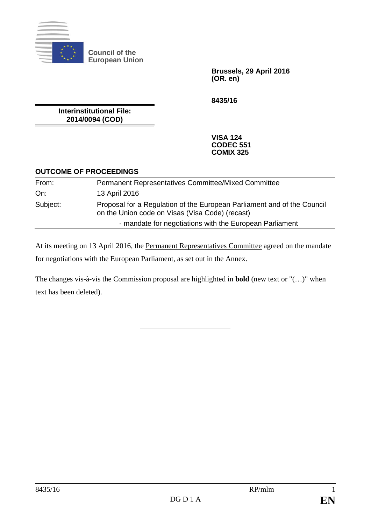

**Council of the European Union**

> **Brussels, 29 April 2016 (OR. en)**

**8435/16**

**Interinstitutional File: 2014/0094 (COD)**

> **VISA 124 CODEC 551 COMIX 325**

## **OUTCOME OF PROCEEDINGS**

| From:    | <b>Permanent Representatives Committee/Mixed Committee</b>                                                                 |
|----------|----------------------------------------------------------------------------------------------------------------------------|
| On:      | 13 April 2016                                                                                                              |
| Subject: | Proposal for a Regulation of the European Parliament and of the Council<br>on the Union code on Visas (Visa Code) (recast) |
|          | - mandate for negotiations with the European Parliament                                                                    |

At its meeting on 13 April 2016, the Permanent Representatives Committee agreed on the mandate for negotiations with the European Parliament, as set out in the Annex.

The changes vis-à-vis the Commission proposal are highlighted in **bold** (new text or "(…)" when text has been deleted).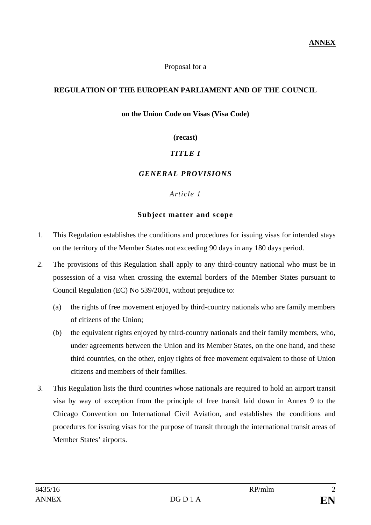Proposal for a

#### **REGULATION OF THE EUROPEAN PARLIAMENT AND OF THE COUNCIL**

#### **on the Union Code on Visas (Visa Code)**

#### **(recast)**

## *TITLE I*

## *GENERAL PROVISIONS*

#### *Article 1*

#### **Subject matter and scope**

- 1. This Regulation establishes the conditions and procedures for issuing visas for intended stays on the territory of the Member States not exceeding 90 days in any 180 days period.
- 2. The provisions of this Regulation shall apply to any third-country national who must be in possession of a visa when crossing the external borders of the Member States pursuant to Council Regulation (EC) No 539/2001, without prejudice to:
	- (a) the rights of free movement enjoyed by third-country nationals who are family members of citizens of the Union;
	- (b) the equivalent rights enjoyed by third-country nationals and their family members, who, under agreements between the Union and its Member States, on the one hand, and these third countries, on the other, enjoy rights of free movement equivalent to those of Union citizens and members of their families.
- 3. This Regulation lists the third countries whose nationals are required to hold an airport transit visa by way of exception from the principle of free transit laid down in Annex 9 to the Chicago Convention on International Civil Aviation, and establishes the conditions and procedures for issuing visas for the purpose of transit through the international transit areas of Member States' airports.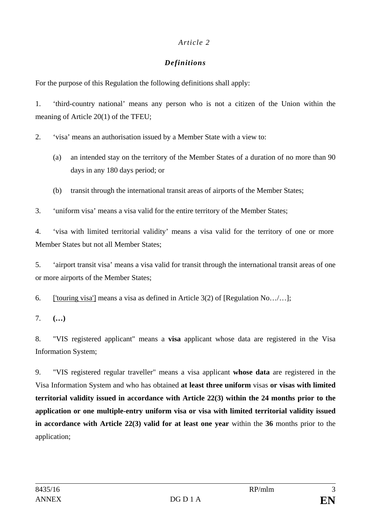# *Definitions*

For the purpose of this Regulation the following definitions shall apply:

1. 'third-country national' means any person who is not a citizen of the Union within the meaning of Article 20(1) of the TFEU;

2. 'visa' means an authorisation issued by a Member State with a view to:

- (a) an intended stay on the territory of the Member States of a duration of no more than 90 days in any 180 days period; or
- (b) transit through the international transit areas of airports of the Member States;
- 3. 'uniform visa' means a visa valid for the entire territory of the Member States;

4. 'visa with limited territorial validity' means a visa valid for the territory of one or more Member States but not all Member States;

5. 'airport transit visa' means a visa valid for transit through the international transit areas of one or more airports of the Member States;

6. ['touring visa'] means a visa as defined in Article 3(2) of [Regulation No…/…];

7. **(…)**

8. "VIS registered applicant" means a **visa** applicant whose data are registered in the Visa Information System;

9. "VIS registered regular traveller" means a visa applicant **whose data** are registered in the Visa Information System and who has obtained **at least three uniform** visas **or visas with limited territorial validity issued in accordance with Article 22(3) within the 24 months prior to the application or one multiple-entry uniform visa or visa with limited territorial validity issued in accordance with Article 22(3) valid for at least one year** within the **36** months prior to the application;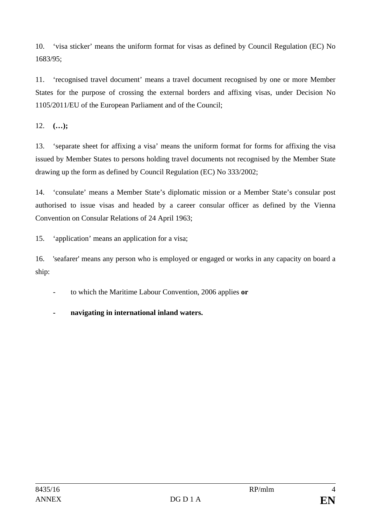10. 'visa sticker' means the uniform format for visas as defined by Council Regulation (EC) No 1683/95;

11. 'recognised travel document' means a travel document recognised by one or more Member States for the purpose of crossing the external borders and affixing visas, under Decision No 1105/2011/EU of the European Parliament and of the Council;

12. **(…);**

13. 'separate sheet for affixing a visa' means the uniform format for forms for affixing the visa issued by Member States to persons holding travel documents not recognised by the Member State drawing up the form as defined by Council Regulation (EC) No 333/2002;

14. 'consulate' means a Member State's diplomatic mission or a Member State's consular post authorised to issue visas and headed by a career consular officer as defined by the Vienna Convention on Consular Relations of 24 April 1963;

15. 'application' means an application for a visa;

16. 'seafarer' means any person who is employed or engaged or works in any capacity on board a ship:

- to which the Maritime Labour Convention, 2006 applies **or**

**- navigating in international inland waters.**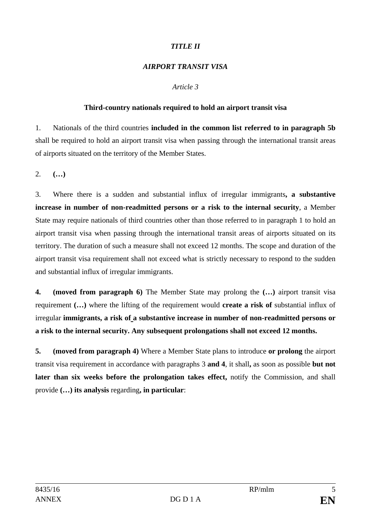## *TITLE II*

## *AIRPORT TRANSIT VISA*

## *Article 3*

#### **Third-country nationals required to hold an airport transit visa**

1. Nationals of the third countries **included in the common list referred to in paragraph 5b** shall be required to hold an airport transit visa when passing through the international transit areas of airports situated on the territory of the Member States.

2. **(…)**

3. Where there is a sudden and substantial influx of irregular immigrants**, a substantive increase in number of non-readmitted persons or a risk to the internal security**, a Member State may require nationals of third countries other than those referred to in paragraph 1 to hold an airport transit visa when passing through the international transit areas of airports situated on its territory. The duration of such a measure shall not exceed 12 months. The scope and duration of the airport transit visa requirement shall not exceed what is strictly necessary to respond to the sudden and substantial influx of irregular immigrants.

**4. (moved from paragraph 6)** The Member State may prolong the **(…)** airport transit visa requirement **(…)** where the lifting of the requirement would **create a risk of** substantial influx of irregular **immigrants, a risk of a substantive increase in number of non-readmitted persons or a risk to the internal security. Any subsequent prolongations shall not exceed 12 months.**

**5. (moved from paragraph 4)** Where a Member State plans to introduce **or prolong** the airport transit visa requirement in accordance with paragraphs 3 **and 4**, it shall**,** as soon as possible **but not later than six weeks before the prolongation takes effect,** notify the Commission, and shall provide **(…) its analysis** regarding**, in particular**: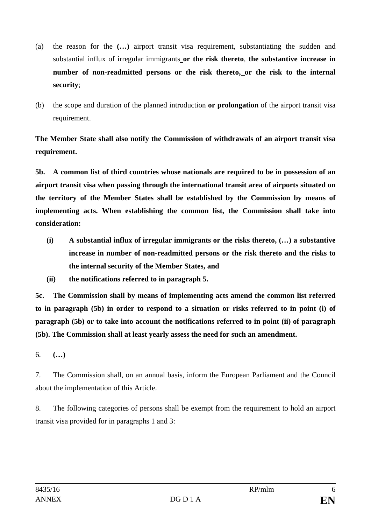- (a) the reason for the **(…)** airport transit visa requirement, substantiating the sudden and substantial influx of irregular immigrants **or the risk thereto**, **the substantive increase in number of non-readmitted persons or the risk thereto, or the risk to the internal security**;
- (b) the scope and duration of the planned introduction **or prolongation** of the airport transit visa requirement.

**The Member State shall also notify the Commission of withdrawals of an airport transit visa requirement.**

**5b. A common list of third countries whose nationals are required to be in possession of an airport transit visa when passing through the international transit area of airports situated on the territory of the Member States shall be established by the Commission by means of implementing acts. When establishing the common list, the Commission shall take into consideration:**

- **(i) A substantial influx of irregular immigrants or the risks thereto, (…) a substantive increase in number of non-readmitted persons or the risk thereto and the risks to the internal security of the Member States, and**
- **(ii) the notifications referred to in paragraph 5.**

**5c. The Commission shall by means of implementing acts amend the common list referred to in paragraph (5b) in order to respond to a situation or risks referred to in point (i) of paragraph (5b) or to take into account the notifications referred to in point (ii) of paragraph (5b). The Commission shall at least yearly assess the need for such an amendment.**

6. **(…)**

7. The Commission shall, on an annual basis, inform the European Parliament and the Council about the implementation of this Article.

8. The following categories of persons shall be exempt from the requirement to hold an airport transit visa provided for in paragraphs 1 and 3: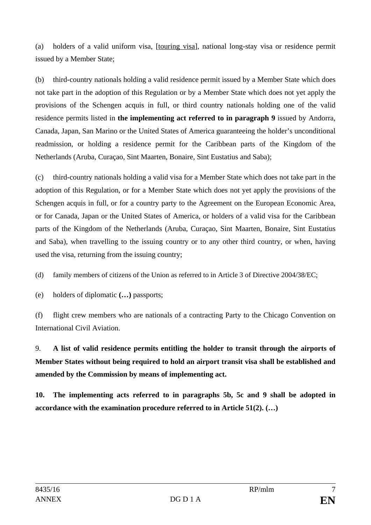(a) holders of a valid uniform visa, [touring visa], national long-stay visa or residence permit issued by a Member State;

(b) third-country nationals holding a valid residence permit issued by a Member State which does not take part in the adoption of this Regulation or by a Member State which does not yet apply the provisions of the Schengen acquis in full, or third country nationals holding one of the valid residence permits listed in **the implementing act referred to in paragraph 9** issued by Andorra, Canada, Japan, San Marino or the United States of America guaranteeing the holder's unconditional readmission, or holding a residence permit for the Caribbean parts of the Kingdom of the Netherlands (Aruba, Curaçao, Sint Maarten, Bonaire, Sint Eustatius and Saba);

(c) third-country nationals holding a valid visa for a Member State which does not take part in the adoption of this Regulation, or for a Member State which does not yet apply the provisions of the Schengen acquis in full, or for a country party to the Agreement on the European Economic Area, or for Canada, Japan or the United States of America, or holders of a valid visa for the Caribbean parts of the Kingdom of the Netherlands (Aruba, Curaçao, Sint Maarten, Bonaire, Sint Eustatius and Saba), when travelling to the issuing country or to any other third country, or when, having used the visa, returning from the issuing country;

(d) family members of citizens of the Union as referred to in Article 3 of Directive 2004/38/EC;

(e) holders of diplomatic **(…)** passports;

(f) flight crew members who are nationals of a contracting Party to the Chicago Convention on International Civil Aviation.

9. **A list of valid residence permits entitling the holder to transit through the airports of Member States without being required to hold an airport transit visa shall be established and amended by the Commission by means of implementing act.**

**10. The implementing acts referred to in paragraphs 5b, 5c and 9 shall be adopted in accordance with the examination procedure referred to in Article 51(2). (…)**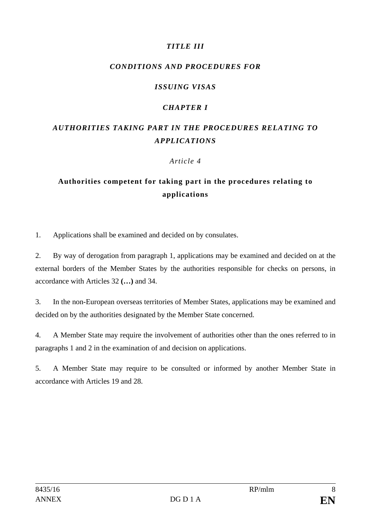# *TITLE III*

## *CONDITIONS AND PROCEDURES FOR*

## *ISSUING VISAS*

## *CHAPTER I*

# *AUTHORITIES TAKING PART IN THE PROCEDURES RELATING TO APPLICATIONS*

#### *Article 4*

# **Authorities competent for taking part in the procedures relating to applications**

1. Applications shall be examined and decided on by consulates.

2. By way of derogation from paragraph 1, applications may be examined and decided on at the external borders of the Member States by the authorities responsible for checks on persons, in accordance with Articles 32 **(…)** and 34.

3. In the non-European overseas territories of Member States, applications may be examined and decided on by the authorities designated by the Member State concerned.

4. A Member State may require the involvement of authorities other than the ones referred to in paragraphs 1 and 2 in the examination of and decision on applications.

5. A Member State may require to be consulted or informed by another Member State in accordance with Articles 19 and 28.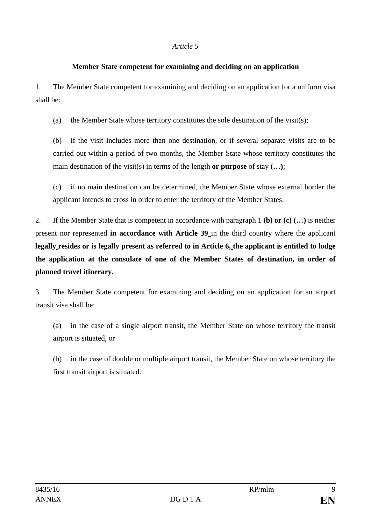#### **Member State competent for examining and deciding on an application**

1. The Member State competent for examining and deciding on an application for a uniform visa shall be:

(a) the Member State whose territory constitutes the sole destination of the visit(s);

(b) if the visit includes more than one destination, or if several separate visits are to be carried out within a period of two months, the Member State whose territory constitutes the main destination of the visit(s) in terms of the length **or purpose** of stay **(…)**;

(c) if no main destination can be determined, the Member State whose external border the applicant intends to cross in order to enter the territory of the Member States.

2. If the Member State that is competent in accordance with paragraph 1 **(b) or (c) (…)** is neither present nor represented **in accordance with Article 39** in the third country where the applicant **legally resides or is legally present as referred to in Article 6, the applicant is entitled to lodge the application at the consulate of one of the Member States of destination, in order of planned travel itinerary.**

3. The Member State competent for examining and deciding on an application for an airport transit visa shall be:

(a) in the case of a single airport transit, the Member State on whose territory the transit airport is situated, or

(b) in the case of double or multiple airport transit, the Member State on whose territory the first transit airport is situated.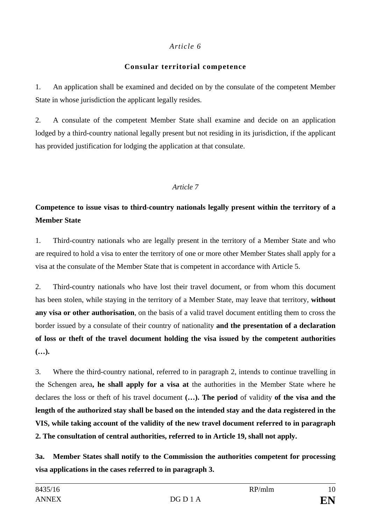## **Consular territorial competence**

1. An application shall be examined and decided on by the consulate of the competent Member State in whose jurisdiction the applicant legally resides.

2. A consulate of the competent Member State shall examine and decide on an application lodged by a third-country national legally present but not residing in its jurisdiction, if the applicant has provided justification for lodging the application at that consulate.

# *Article 7*

# **Competence to issue visas to third-country nationals legally present within the territory of a Member State**

1. Third-country nationals who are legally present in the territory of a Member State and who are required to hold a visa to enter the territory of one or more other Member States shall apply for a visa at the consulate of the Member State that is competent in accordance with Article 5.

2. Third-country nationals who have lost their travel document, or from whom this document has been stolen, while staying in the territory of a Member State, may leave that territory, **without any visa or other authorisation**, on the basis of a valid travel document entitling them to cross the border issued by a consulate of their country of nationality **and the presentation of a declaration of loss or theft of the travel document holding the visa issued by the competent authorities (…).**

3. Where the third-country national, referred to in paragraph 2, intends to continue travelling in the Schengen area**, he shall apply for a visa at** the authorities in the Member State where he declares the loss or theft of his travel document **(…). The period** of validity **of the visa and the length of the authorized stay shall be based on the intended stay and the data registered in the VIS, while taking account of the validity of the new travel document referred to in paragraph 2. The consultation of central authorities, referred to in Article 19, shall not apply.**

**3a. Member States shall notify to the Commission the authorities competent for processing visa applications in the cases referred to in paragraph 3.**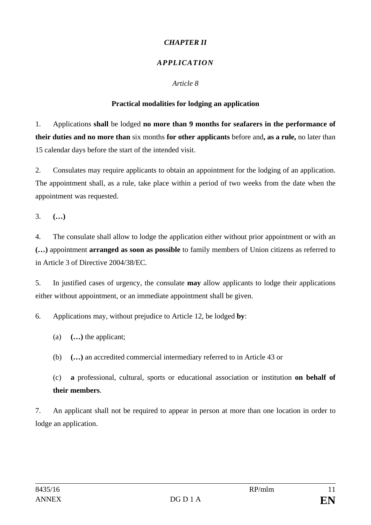# *CHAPTER II*

# *APPLICATION*

## *Article 8*

# **Practical modalities for lodging an application**

1. Applications **shall** be lodged **no more than 9 months for seafarers in the performance of their duties and no more than** six months **for other applicants** before and**, as a rule,** no later than 15 calendar days before the start of the intended visit.

2. Consulates may require applicants to obtain an appointment for the lodging of an application. The appointment shall, as a rule, take place within a period of two weeks from the date when the appointment was requested.

3. **(…)**

4. The consulate shall allow to lodge the application either without prior appointment or with an **(…)** appointment **arranged as soon as possible** to family members of Union citizens as referred to in Article 3 of Directive 2004/38/EC.

5. In justified cases of urgency, the consulate **may** allow applicants to lodge their applications either without appointment, or an immediate appointment shall be given.

6. Applications may, without prejudice to Article 12, be lodged **by**:

(a) **(…)** the applicant;

(b) **(…)** an accredited commercial intermediary referred to in Article 43 or

(c) **a** professional, cultural, sports or educational association or institution **on behalf of their members**.

7. An applicant shall not be required to appear in person at more than one location in order to lodge an application.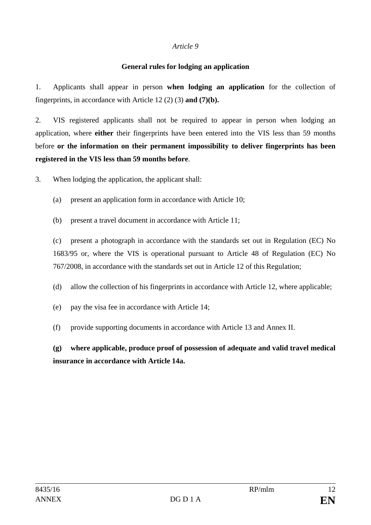#### **General rules for lodging an application**

1. Applicants shall appear in person **when lodging an application** for the collection of fingerprints, in accordance with Article 12 (2) (3) **and (7)(b).**

2. VIS registered applicants shall not be required to appear in person when lodging an application, where **either** their fingerprints have been entered into the VIS less than 59 months before **or the information on their permanent impossibility to deliver fingerprints has been registered in the VIS less than 59 months before**.

3. When lodging the application, the applicant shall:

- (a) present an application form in accordance with Article 10;
- (b) present a travel document in accordance with Article 11;

(c) present a photograph in accordance with the standards set out in Regulation (EC) No 1683/95 or, where the VIS is operational pursuant to Article 48 of Regulation (EC) No 767/2008, in accordance with the standards set out in Article 12 of this Regulation;

- (d) allow the collection of his fingerprints in accordance with Article 12, where applicable;
- (e) pay the visa fee in accordance with Article 14;
- (f) provide supporting documents in accordance with Article 13 and Annex II.

**(g) where applicable, produce proof of possession of adequate and valid travel medical insurance in accordance with Article 14a.**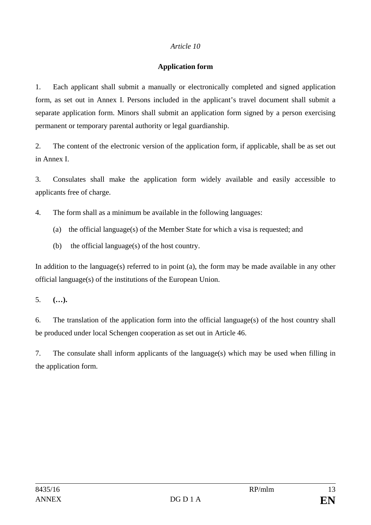#### **Application form**

1. Each applicant shall submit a manually or electronically completed and signed application form, as set out in Annex I. Persons included in the applicant's travel document shall submit a separate application form. Minors shall submit an application form signed by a person exercising permanent or temporary parental authority or legal guardianship.

2. The content of the electronic version of the application form, if applicable, shall be as set out in Annex I.

3. Consulates shall make the application form widely available and easily accessible to applicants free of charge.

4. The form shall as a minimum be available in the following languages:

- (a) the official language(s) of the Member State for which a visa is requested; and
- (b) the official language(s) of the host country.

In addition to the language(s) referred to in point (a), the form may be made available in any other official language(s) of the institutions of the European Union.

5. **(…).**

6. The translation of the application form into the official language(s) of the host country shall be produced under local Schengen cooperation as set out in Article 46.

7. The consulate shall inform applicants of the language(s) which may be used when filling in the application form.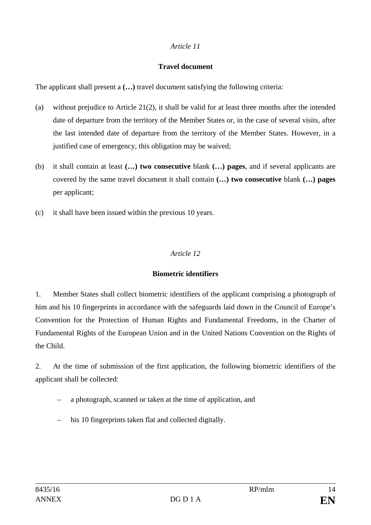#### **Travel document**

The applicant shall present a **(…)** travel document satisfying the following criteria:

- (a) without prejudice to Article 21(2), it shall be valid for at least three months after the intended date of departure from the territory of the Member States or, in the case of several visits, after the last intended date of departure from the territory of the Member States. However, in a justified case of emergency, this obligation may be waived;
- (b) it shall contain at least **(…) two consecutive** blank **(…) pages**, and if several applicants are covered by the same travel document it shall contain **(…) two consecutive** blank **(…) pages** per applicant;
- (c) it shall have been issued within the previous 10 years.

# *Article 12*

## **Biometric identifiers**

1. Member States shall collect biometric identifiers of the applicant comprising a photograph of him and his 10 fingerprints in accordance with the safeguards laid down in the Council of Europe's Convention for the Protection of Human Rights and Fundamental Freedoms, in the Charter of Fundamental Rights of the European Union and in the United Nations Convention on the Rights of the Child.

2. At the time of submission of the first application, the following biometric identifiers of the applicant shall be collected:

- a photograph, scanned or taken at the time of application, and
- his 10 fingerprints taken flat and collected digitally.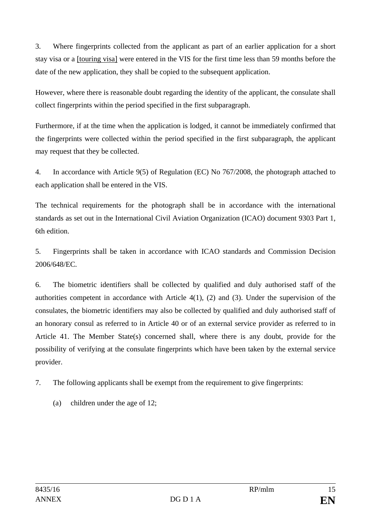3. Where fingerprints collected from the applicant as part of an earlier application for a short stay visa or a [touring visa] were entered in the VIS for the first time less than 59 months before the date of the new application, they shall be copied to the subsequent application.

However, where there is reasonable doubt regarding the identity of the applicant, the consulate shall collect fingerprints within the period specified in the first subparagraph.

Furthermore, if at the time when the application is lodged, it cannot be immediately confirmed that the fingerprints were collected within the period specified in the first subparagraph, the applicant may request that they be collected.

4. In accordance with Article 9(5) of Regulation (EC) No 767/2008, the photograph attached to each application shall be entered in the VIS.

The technical requirements for the photograph shall be in accordance with the international standards as set out in the International Civil Aviation Organization (ICAO) document 9303 Part 1, 6th edition.

5. Fingerprints shall be taken in accordance with ICAO standards and Commission Decision 2006/648/EC.

6. The biometric identifiers shall be collected by qualified and duly authorised staff of the authorities competent in accordance with Article 4(1), (2) and (3). Under the supervision of the consulates, the biometric identifiers may also be collected by qualified and duly authorised staff of an honorary consul as referred to in Article 40 or of an external service provider as referred to in Article 41. The Member State(s) concerned shall, where there is any doubt, provide for the possibility of verifying at the consulate fingerprints which have been taken by the external service provider.

- 7. The following applicants shall be exempt from the requirement to give fingerprints:
	- (a) children under the age of 12;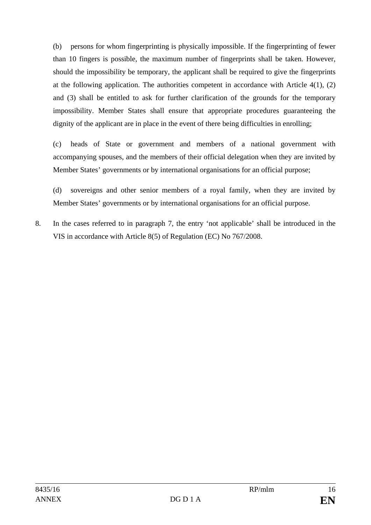(b) persons for whom fingerprinting is physically impossible. If the fingerprinting of fewer than 10 fingers is possible, the maximum number of fingerprints shall be taken. However, should the impossibility be temporary, the applicant shall be required to give the fingerprints at the following application. The authorities competent in accordance with Article 4(1), (2) and (3) shall be entitled to ask for further clarification of the grounds for the temporary impossibility. Member States shall ensure that appropriate procedures guaranteeing the dignity of the applicant are in place in the event of there being difficulties in enrolling;

(c) heads of State or government and members of a national government with accompanying spouses, and the members of their official delegation when they are invited by Member States' governments or by international organisations for an official purpose;

(d) sovereigns and other senior members of a royal family, when they are invited by Member States' governments or by international organisations for an official purpose.

8. In the cases referred to in paragraph 7, the entry 'not applicable' shall be introduced in the VIS in accordance with Article 8(5) of Regulation (EC) No 767/2008.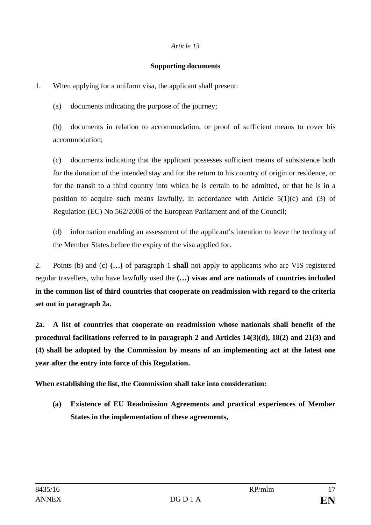#### **Supporting documents**

1. When applying for a uniform visa, the applicant shall present:

(a) documents indicating the purpose of the journey;

(b) documents in relation to accommodation, or proof of sufficient means to cover his accommodation;

(c) documents indicating that the applicant possesses sufficient means of subsistence both for the duration of the intended stay and for the return to his country of origin or residence, or for the transit to a third country into which he is certain to be admitted, or that he is in a position to acquire such means lawfully, in accordance with Article  $5(1)(c)$  and (3) of Regulation (EC) No 562/2006 of the European Parliament and of the Council;

(d) information enabling an assessment of the applicant's intention to leave the territory of the Member States before the expiry of the visa applied for.

2. Points (b) and (c) **(…)** of paragraph 1 **shall** not apply to applicants who are VIS registered regular travellers, who have lawfully used the **(…) visas and are nationals of countries included in the common list of third countries that cooperate on readmission with regard to the criteria set out in paragraph 2a.**

**2a. A list of countries that cooperate on readmission whose nationals shall benefit of the procedural facilitations referred to in paragraph 2 and Articles 14(3)(d), 18(2) and 21(3) and (4) shall be adopted by the Commission by means of an implementing act at the latest one year after the entry into force of this Regulation.**

**When establishing the list, the Commission shall take into consideration:**

**(a) Existence of EU Readmission Agreements and practical experiences of Member States in the implementation of these agreements,**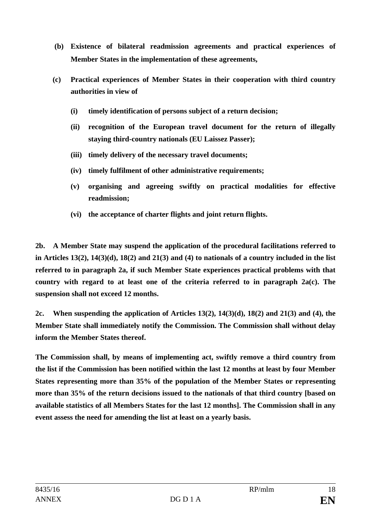- **(b) Existence of bilateral readmission agreements and practical experiences of Member States in the implementation of these agreements,**
- **(c) Practical experiences of Member States in their cooperation with third country authorities in view of**
	- **(i) timely identification of persons subject of a return decision;**
	- **(ii) recognition of the European travel document for the return of illegally staying third-country nationals (EU Laissez Passer);**
	- **(iii) timely delivery of the necessary travel documents;**
	- **(iv) timely fulfilment of other administrative requirements;**
	- **(v) organising and agreeing swiftly on practical modalities for effective readmission;**
	- **(vi) the acceptance of charter flights and joint return flights.**

**2b. A Member State may suspend the application of the procedural facilitations referred to in Articles 13(2), 14(3)(d), 18(2) and 21(3) and (4) to nationals of a country included in the list referred to in paragraph 2a, if such Member State experiences practical problems with that country with regard to at least one of the criteria referred to in paragraph 2a(c). The suspension shall not exceed 12 months.**

**2c. When suspending the application of Articles 13(2), 14(3)(d), 18(2) and 21(3) and (4), the Member State shall immediately notify the Commission. The Commission shall without delay inform the Member States thereof.** 

**The Commission shall, by means of implementing act, swiftly remove a third country from the list if the Commission has been notified within the last 12 months at least by four Member States representing more than 35% of the population of the Member States or representing more than 35% of the return decisions issued to the nationals of that third country [based on available statistics of all Members States for the last 12 months]. The Commission shall in any event assess the need for amending the list at least on a yearly basis.**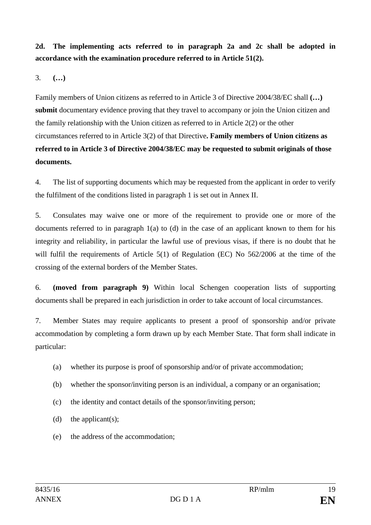**2d. The implementing acts referred to in paragraph 2a and 2c shall be adopted in accordance with the examination procedure referred to in Article 51(2).** 

3. **(…)**

Family members of Union citizens as referred to in Article 3 of Directive 2004/38/EC shall **(…) submit** documentary evidence proving that they travel to accompany or join the Union citizen and the family relationship with the Union citizen as referred to in Article 2(2) or the other circumstances referred to in Article 3(2) of that Directive**. Family members of Union citizens as referred to in Article 3 of Directive 2004/38/EC may be requested to submit originals of those documents.**

4. The list of supporting documents which may be requested from the applicant in order to verify the fulfilment of the conditions listed in paragraph 1 is set out in Annex II.

5. Consulates may waive one or more of the requirement to provide one or more of the documents referred to in paragraph 1(a) to (d) in the case of an applicant known to them for his integrity and reliability, in particular the lawful use of previous visas, if there is no doubt that he will fulfil the requirements of Article 5(1) of Regulation (EC) No 562/2006 at the time of the crossing of the external borders of the Member States.

6. **(moved from paragraph 9)** Within local Schengen cooperation lists of supporting documents shall be prepared in each jurisdiction in order to take account of local circumstances.

7. Member States may require applicants to present a proof of sponsorship and/or private accommodation by completing a form drawn up by each Member State. That form shall indicate in particular:

- (a) whether its purpose is proof of sponsorship and/or of private accommodation;
- (b) whether the sponsor/inviting person is an individual, a company or an organisation;
- (c) the identity and contact details of the sponsor/inviting person;
- (d) the applicant(s);
- (e) the address of the accommodation;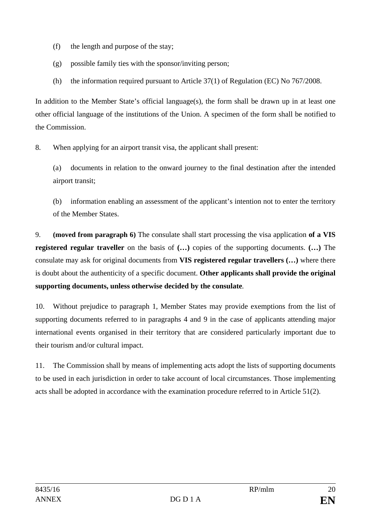- (f) the length and purpose of the stay;
- (g) possible family ties with the sponsor/inviting person;
- (h) the information required pursuant to Article 37(1) of Regulation (EC) No 767/2008.

In addition to the Member State's official language(s), the form shall be drawn up in at least one other official language of the institutions of the Union. A specimen of the form shall be notified to the Commission.

8. When applying for an airport transit visa, the applicant shall present:

(a) documents in relation to the onward journey to the final destination after the intended airport transit;

(b) information enabling an assessment of the applicant's intention not to enter the territory of the Member States.

9. **(moved from paragraph 6)** The consulate shall start processing the visa application **of a VIS registered regular traveller** on the basis of **(…)** copies of the supporting documents. **(…)** The consulate may ask for original documents from **VIS registered regular travellers (…)** where there is doubt about the authenticity of a specific document. **Other applicants shall provide the original supporting documents, unless otherwise decided by the consulate***.*

10. Without prejudice to paragraph 1, Member States may provide exemptions from the list of supporting documents referred to in paragraphs 4 and 9 in the case of applicants attending major international events organised in their territory that are considered particularly important due to their tourism and/or cultural impact.

11. The Commission shall by means of implementing acts adopt the lists of supporting documents to be used in each jurisdiction in order to take account of local circumstances. Those implementing acts shall be adopted in accordance with the examination procedure referred to in Article 51(2).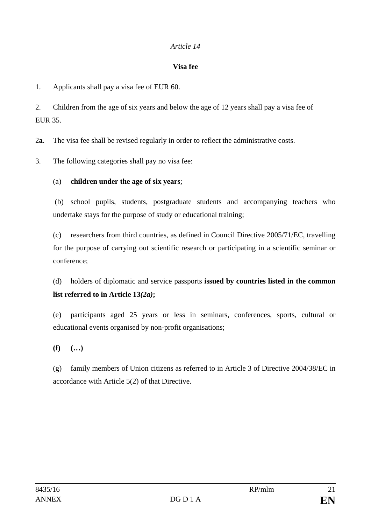#### **Visa fee**

1. Applicants shall pay a visa fee of EUR 60.

2. Children from the age of six years and below the age of 12 years shall pay a visa fee of EUR 35.

2**a**. The visa fee shall be revised regularly in order to reflect the administrative costs.

3. The following categories shall pay no visa fee:

## (a) **children under the age of six years**;

(b) school pupils, students, postgraduate students and accompanying teachers who undertake stays for the purpose of study or educational training;

(c) researchers from third countries, as defined in Council Directive 2005/71/EC, travelling for the purpose of carrying out scientific research or participating in a scientific seminar or conference;

(d) holders of diplomatic and service passports **issued by countries listed in the common list referred to in Article 13***(2a)***;**

(e) participants aged 25 years or less in seminars, conferences, sports, cultural or educational events organised by non-profit organisations;

**(f) (…)**

(g) family members of Union citizens as referred to in Article 3 of Directive 2004/38/EC in accordance with Article 5(2) of that Directive.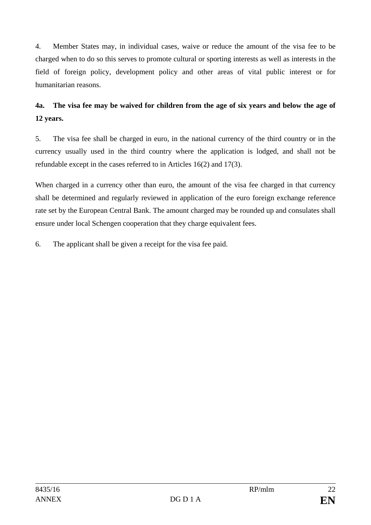4. Member States may, in individual cases, waive or reduce the amount of the visa fee to be charged when to do so this serves to promote cultural or sporting interests as well as interests in the field of foreign policy, development policy and other areas of vital public interest or for humanitarian reasons.

# **4a. The visa fee may be waived for children from the age of six years and below the age of 12 years.**

5. The visa fee shall be charged in euro, in the national currency of the third country or in the currency usually used in the third country where the application is lodged, and shall not be refundable except in the cases referred to in Articles 16(2) and 17(3).

When charged in a currency other than euro, the amount of the visa fee charged in that currency shall be determined and regularly reviewed in application of the euro foreign exchange reference rate set by the European Central Bank. The amount charged may be rounded up and consulates shall ensure under local Schengen cooperation that they charge equivalent fees.

6. The applicant shall be given a receipt for the visa fee paid.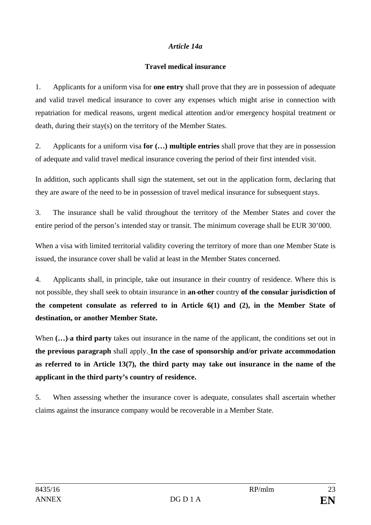#### *Article 14a*

#### **Travel medical insurance**

1. Applicants for a uniform visa for **one entry** shall prove that they are in possession of adequate and valid travel medical insurance to cover any expenses which might arise in connection with repatriation for medical reasons, urgent medical attention and/or emergency hospital treatment or death, during their stay(s) on the territory of the Member States.

2. Applicants for a uniform visa **for (…) multiple entries** shall prove that they are in possession of adequate and valid travel medical insurance covering the period of their first intended visit.

In addition, such applicants shall sign the statement, set out in the application form, declaring that they are aware of the need to be in possession of travel medical insurance for subsequent stays.

3. The insurance shall be valid throughout the territory of the Member States and cover the entire period of the person's intended stay or transit. The minimum coverage shall be EUR 30'000.

When a visa with limited territorial validity covering the territory of more than one Member State is issued, the insurance cover shall be valid at least in the Member States concerned.

4. Applicants shall, in principle, take out insurance in their country of residence. Where this is not possible, they shall seek to obtain insurance in **an other** country **of the consular jurisdiction of the competent consulate as referred to in Article 6(1) and (2), in the Member State of destination, or another Member State.**

When  $(...)$ **a third party** takes out insurance in the name of the applicant, the conditions set out in **the previous paragraph** shall apply. **In the case of sponsorship and/or private accommodation as referred to in Article 13(7), the third party may take out insurance in the name of the applicant in the third party's country of residence.**

5. When assessing whether the insurance cover is adequate, consulates shall ascertain whether claims against the insurance company would be recoverable in a Member State.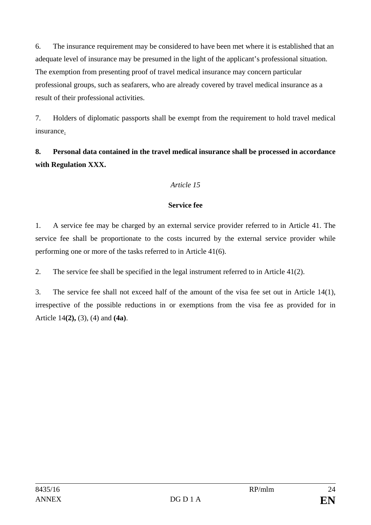6. The insurance requirement may be considered to have been met where it is established that an adequate level of insurance may be presumed in the light of the applicant's professional situation. The exemption from presenting proof of travel medical insurance may concern particular professional groups, such as seafarers, who are already covered by travel medical insurance as a result of their professional activities.

7. Holders of diplomatic passports shall be exempt from the requirement to hold travel medical insurance.

# **8. Personal data contained in the travel medical insurance shall be processed in accordance with Regulation XXX.**

# *Article 15*

## **Service fee**

1. A service fee may be charged by an external service provider referred to in Article 41. The service fee shall be proportionate to the costs incurred by the external service provider while performing one or more of the tasks referred to in Article 41(6).

2. The service fee shall be specified in the legal instrument referred to in Article 41(2).

3. The service fee shall not exceed half of the amount of the visa fee set out in Article 14(1), irrespective of the possible reductions in or exemptions from the visa fee as provided for in Article 14**(2),** (3), (4) and **(4a)**.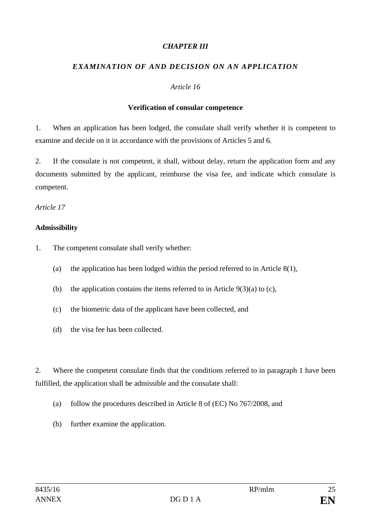#### *CHAPTER III*

## *EXAMINATION OF AND DECISION ON AN APPLICATION*

#### *Article 16*

#### **Verification of consular competence**

1. When an application has been lodged, the consulate shall verify whether it is competent to examine and decide on it in accordance with the provisions of Articles 5 and 6.

2. If the consulate is not competent, it shall, without delay, return the application form and any documents submitted by the applicant, reimburse the visa fee, and indicate which consulate is competent.

*Article 17*

#### **Admissibility**

- 1. The competent consulate shall verify whether:
	- (a) the application has been lodged within the period referred to in Article  $8(1)$ ,
	- (b) the application contains the items referred to in Article  $9(3)(a)$  to (c),
	- (c) the biometric data of the applicant have been collected, and
	- (d) the visa fee has been collected.

2. Where the competent consulate finds that the conditions referred to in paragraph 1 have been fulfilled, the application shall be admissible and the consulate shall:

- (a) follow the procedures described in Article 8 of (EC) No 767/2008, and
- (b) further examine the application.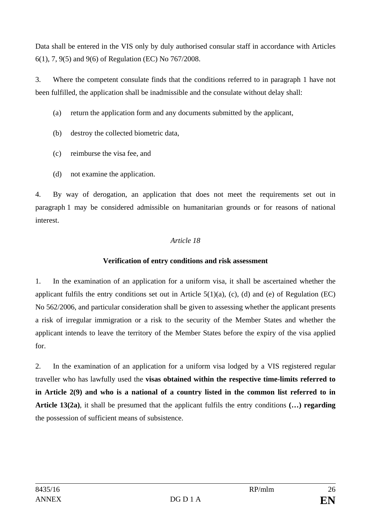Data shall be entered in the VIS only by duly authorised consular staff in accordance with Articles 6(1), 7, 9(5) and 9(6) of Regulation (EC) No 767/2008.

3. Where the competent consulate finds that the conditions referred to in paragraph 1 have not been fulfilled, the application shall be inadmissible and the consulate without delay shall:

- (a) return the application form and any documents submitted by the applicant,
- (b) destroy the collected biometric data,
- (c) reimburse the visa fee, and
- (d) not examine the application.

4. By way of derogation, an application that does not meet the requirements set out in paragraph 1 may be considered admissible on humanitarian grounds or for reasons of national interest.

# *Article 18*

# **Verification of entry conditions and risk assessment**

1. In the examination of an application for a uniform visa, it shall be ascertained whether the applicant fulfils the entry conditions set out in Article  $5(1)(a)$ , (c), (d) and (e) of Regulation (EC) No 562/2006, and particular consideration shall be given to assessing whether the applicant presents a risk of irregular immigration or a risk to the security of the Member States and whether the applicant intends to leave the territory of the Member States before the expiry of the visa applied for.

2. In the examination of an application for a uniform visa lodged by a VIS registered regular traveller who has lawfully used the **visas obtained within the respective time-limits referred to in Article 2(9) and who is a national of a country listed in the common list referred to in Article 13(2a)**, it shall be presumed that the applicant fulfils the entry conditions **(…) regarding** the possession of sufficient means of subsistence.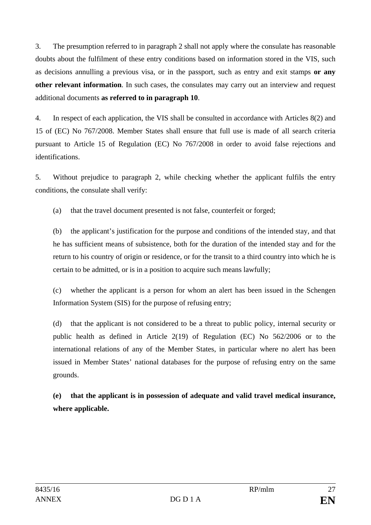3. The presumption referred to in paragraph 2 shall not apply where the consulate has reasonable doubts about the fulfilment of these entry conditions based on information stored in the VIS, such as decisions annulling a previous visa, or in the passport, such as entry and exit stamps **or any other relevant information**. In such cases, the consulates may carry out an interview and request additional documents **as referred to in paragraph 10**.

4. In respect of each application, the VIS shall be consulted in accordance with Articles 8(2) and 15 of (EC) No 767/2008. Member States shall ensure that full use is made of all search criteria pursuant to Article 15 of Regulation (EC) No 767/2008 in order to avoid false rejections and identifications.

5. Without prejudice to paragraph 2, while checking whether the applicant fulfils the entry conditions, the consulate shall verify:

(a) that the travel document presented is not false, counterfeit or forged;

(b) the applicant's justification for the purpose and conditions of the intended stay, and that he has sufficient means of subsistence, both for the duration of the intended stay and for the return to his country of origin or residence, or for the transit to a third country into which he is certain to be admitted, or is in a position to acquire such means lawfully;

(c) whether the applicant is a person for whom an alert has been issued in the Schengen Information System (SIS) for the purpose of refusing entry;

(d) that the applicant is not considered to be a threat to public policy, internal security or public health as defined in Article 2(19) of Regulation (EC) No 562/2006 or to the international relations of any of the Member States, in particular where no alert has been issued in Member States' national databases for the purpose of refusing entry on the same grounds.

**(e) that the applicant is in possession of adequate and valid travel medical insurance, where applicable.**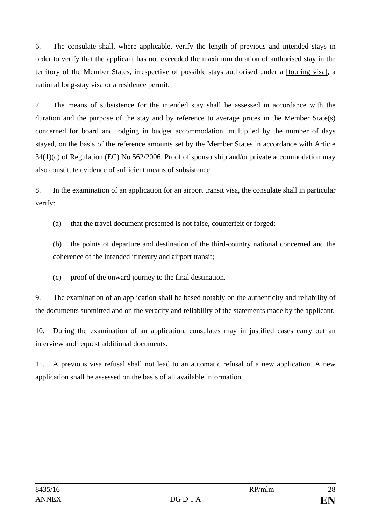6. The consulate shall, where applicable, verify the length of previous and intended stays in order to verify that the applicant has not exceeded the maximum duration of authorised stay in the territory of the Member States, irrespective of possible stays authorised under a [touring visa], a national long-stay visa or a residence permit.

7. The means of subsistence for the intended stay shall be assessed in accordance with the duration and the purpose of the stay and by reference to average prices in the Member State(s) concerned for board and lodging in budget accommodation, multiplied by the number of days stayed, on the basis of the reference amounts set by the Member States in accordance with Article 34(1)(c) of Regulation (EC) No 562/2006. Proof of sponsorship and/or private accommodation may also constitute evidence of sufficient means of subsistence.

8. In the examination of an application for an airport transit visa, the consulate shall in particular verify:

(a) that the travel document presented is not false, counterfeit or forged;

(b) the points of departure and destination of the third-country national concerned and the coherence of the intended itinerary and airport transit;

(c) proof of the onward journey to the final destination.

9. The examination of an application shall be based notably on the authenticity and reliability of the documents submitted and on the veracity and reliability of the statements made by the applicant.

10. During the examination of an application, consulates may in justified cases carry out an interview and request additional documents.

11. A previous visa refusal shall not lead to an automatic refusal of a new application. A new application shall be assessed on the basis of all available information.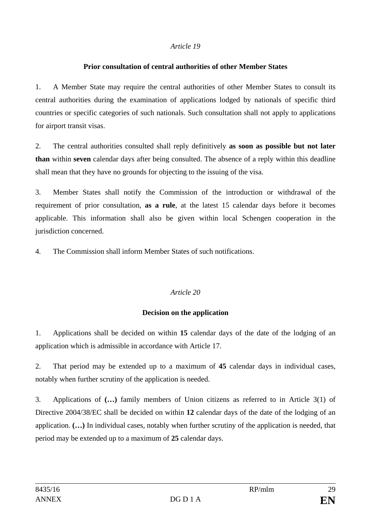#### **Prior consultation of central authorities of other Member States**

1. A Member State may require the central authorities of other Member States to consult its central authorities during the examination of applications lodged by nationals of specific third countries or specific categories of such nationals. Such consultation shall not apply to applications for airport transit visas.

2. The central authorities consulted shall reply definitively **as soon as possible but not later than** within **seven** calendar days after being consulted. The absence of a reply within this deadline shall mean that they have no grounds for objecting to the issuing of the visa.

3. Member States shall notify the Commission of the introduction or withdrawal of the requirement of prior consultation, **as a rule**, at the latest 15 calendar days before it becomes applicable. This information shall also be given within local Schengen cooperation in the jurisdiction concerned.

4. The Commission shall inform Member States of such notifications.

## *Article 20*

## **Decision on the application**

1. Applications shall be decided on within **15** calendar days of the date of the lodging of an application which is admissible in accordance with Article 17.

2. That period may be extended up to a maximum of **45** calendar days in individual cases, notably when further scrutiny of the application is needed.

3. Applications of **(…)** family members of Union citizens as referred to in Article 3(1) of Directive 2004/38/EC shall be decided on within **12** calendar days of the date of the lodging of an application. **(…)** In individual cases, notably when further scrutiny of the application is needed, that period may be extended up to a maximum of **25** calendar days.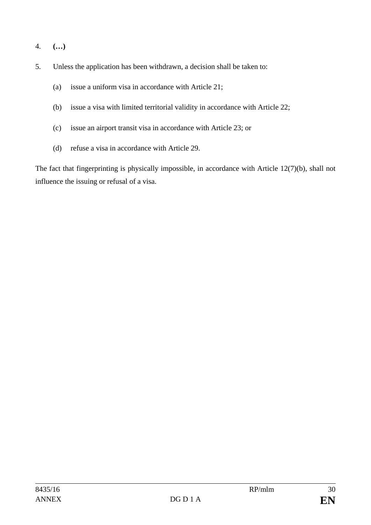- 4. **(…)**
- 5. Unless the application has been withdrawn, a decision shall be taken to:
	- (a) issue a uniform visa in accordance with Article 21;
	- (b) issue a visa with limited territorial validity in accordance with Article 22;
	- (c) issue an airport transit visa in accordance with Article 23; or
	- (d) refuse a visa in accordance with Article 29.

The fact that fingerprinting is physically impossible, in accordance with Article 12(7)(b), shall not influence the issuing or refusal of a visa.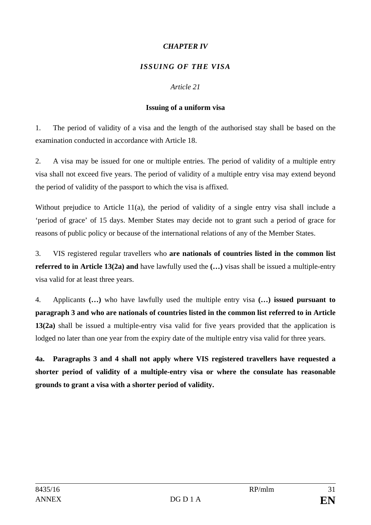## *CHAPTER IV*

## *ISSUING OF THE VISA*

## *Article 21*

## **Issuing of a uniform visa**

1. The period of validity of a visa and the length of the authorised stay shall be based on the examination conducted in accordance with Article 18.

2. A visa may be issued for one or multiple entries. The period of validity of a multiple entry visa shall not exceed five years. The period of validity of a multiple entry visa may extend beyond the period of validity of the passport to which the visa is affixed.

Without prejudice to Article 11(a), the period of validity of a single entry visa shall include a 'period of grace' of 15 days. Member States may decide not to grant such a period of grace for reasons of public policy or because of the international relations of any of the Member States.

3. VIS registered regular travellers who **are nationals of countries listed in the common list referred to in Article 13(2a) and** have lawfully used the **(…)** visas shall be issued a multiple-entry visa valid for at least three years.

4. Applicants **(…)** who have lawfully used the multiple entry visa **(…) issued pursuant to paragraph 3 and who are nationals of countries listed in the common list referred to in Article 13(2a)** shall be issued a multiple-entry visa valid for five years provided that the application is lodged no later than one year from the expiry date of the multiple entry visa valid for three years.

**4a. Paragraphs 3 and 4 shall not apply where VIS registered travellers have requested a shorter period of validity of a multiple-entry visa or where the consulate has reasonable grounds to grant a visa with a shorter period of validity.**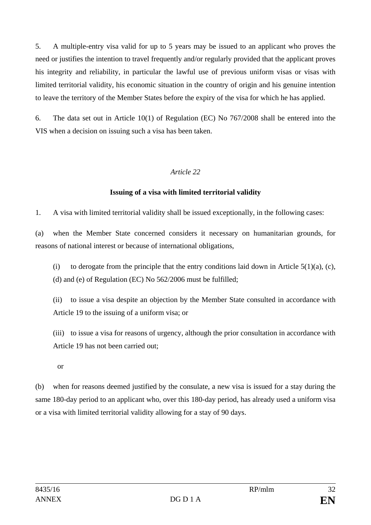5. A multiple-entry visa valid for up to 5 years may be issued to an applicant who proves the need or justifies the intention to travel frequently and/or regularly provided that the applicant proves his integrity and reliability, in particular the lawful use of previous uniform visas or visas with limited territorial validity, his economic situation in the country of origin and his genuine intention to leave the territory of the Member States before the expiry of the visa for which he has applied.

6. The data set out in Article 10(1) of Regulation (EC) No 767/2008 shall be entered into the VIS when a decision on issuing such a visa has been taken.

#### *Article 22*

## **Issuing of a visa with limited territorial validity**

1. A visa with limited territorial validity shall be issued exceptionally, in the following cases:

(a) when the Member State concerned considers it necessary on humanitarian grounds, for reasons of national interest or because of international obligations,

(i) to derogate from the principle that the entry conditions laid down in Article  $5(1)(a)$ , (c), (d) and (e) of Regulation (EC) No 562/2006 must be fulfilled;

(ii) to issue a visa despite an objection by the Member State consulted in accordance with Article 19 to the issuing of a uniform visa; or

(iii) to issue a visa for reasons of urgency, although the prior consultation in accordance with Article 19 has not been carried out;

or

(b) when for reasons deemed justified by the consulate, a new visa is issued for a stay during the same 180-day period to an applicant who, over this 180-day period, has already used a uniform visa or a visa with limited territorial validity allowing for a stay of 90 days.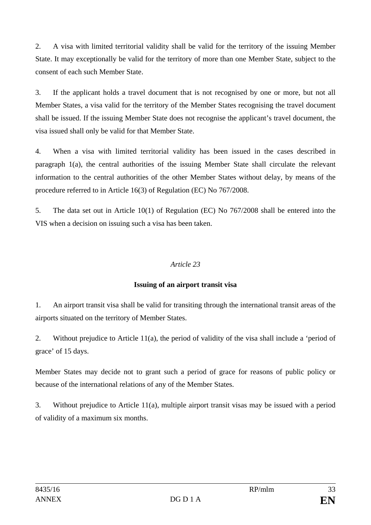2. A visa with limited territorial validity shall be valid for the territory of the issuing Member State. It may exceptionally be valid for the territory of more than one Member State, subject to the consent of each such Member State.

3. If the applicant holds a travel document that is not recognised by one or more, but not all Member States, a visa valid for the territory of the Member States recognising the travel document shall be issued. If the issuing Member State does not recognise the applicant's travel document, the visa issued shall only be valid for that Member State.

4. When a visa with limited territorial validity has been issued in the cases described in paragraph 1(a), the central authorities of the issuing Member State shall circulate the relevant information to the central authorities of the other Member States without delay, by means of the procedure referred to in Article 16(3) of Regulation (EC) No 767/2008.

5. The data set out in Article 10(1) of Regulation (EC) No 767/2008 shall be entered into the VIS when a decision on issuing such a visa has been taken.

## *Article 23*

## **Issuing of an airport transit visa**

1. An airport transit visa shall be valid for transiting through the international transit areas of the airports situated on the territory of Member States.

2. Without prejudice to Article 11(a), the period of validity of the visa shall include a 'period of grace' of 15 days.

Member States may decide not to grant such a period of grace for reasons of public policy or because of the international relations of any of the Member States.

3. Without prejudice to Article 11(a), multiple airport transit visas may be issued with a period of validity of a maximum six months.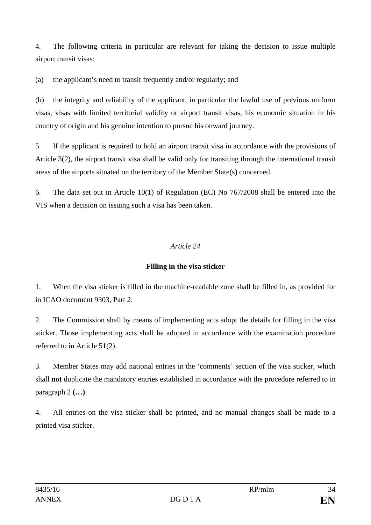4. The following criteria in particular are relevant for taking the decision to issue multiple airport transit visas:

(a) the applicant's need to transit frequently and/or regularly; and

(b) the integrity and reliability of the applicant, in particular the lawful use of previous uniform visas, visas with limited territorial validity or airport transit visas, his economic situation in his country of origin and his genuine intention to pursue his onward journey.

5. If the applicant is required to hold an airport transit visa in accordance with the provisions of Article 3(2), the airport transit visa shall be valid only for transiting through the international transit areas of the airports situated on the territory of the Member State(s) concerned.

6. The data set out in Article 10(1) of Regulation (EC) No 767/2008 shall be entered into the VIS when a decision on issuing such a visa has been taken.

# *Article 24*

# **Filling in the visa sticker**

1. When the visa sticker is filled in the machine-readable zone shall be filled in, as provided for in ICAO document 9303, Part 2.

2. The Commission shall by means of implementing acts adopt the details for filling in the visa sticker. Those implementing acts shall be adopted in accordance with the examination procedure referred to in Article 51(2).

3. Member States may add national entries in the 'comments' section of the visa sticker, which shall **not** duplicate the mandatory entries established in accordance with the procedure referred to in paragraph 2 **(…)**.

4. All entries on the visa sticker shall be printed, and no manual changes shall be made to a printed visa sticker.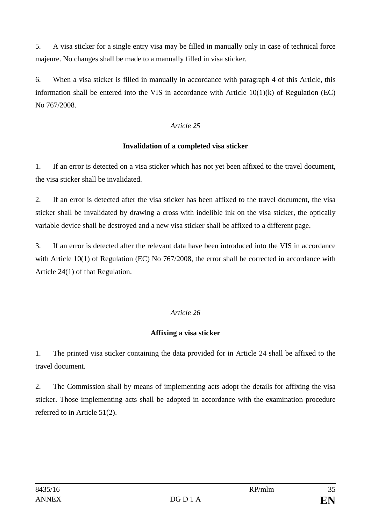5. A visa sticker for a single entry visa may be filled in manually only in case of technical force majeure. No changes shall be made to a manually filled in visa sticker.

6. When a visa sticker is filled in manually in accordance with paragraph 4 of this Article, this information shall be entered into the VIS in accordance with Article  $10(1)(k)$  of Regulation (EC) No 767/2008.

## *Article 25*

## **Invalidation of a completed visa sticker**

1. If an error is detected on a visa sticker which has not yet been affixed to the travel document, the visa sticker shall be invalidated.

2. If an error is detected after the visa sticker has been affixed to the travel document, the visa sticker shall be invalidated by drawing a cross with indelible ink on the visa sticker, the optically variable device shall be destroyed and a new visa sticker shall be affixed to a different page.

3. If an error is detected after the relevant data have been introduced into the VIS in accordance with Article 10(1) of Regulation (EC) No 767/2008, the error shall be corrected in accordance with Article 24(1) of that Regulation.

## *Article 26*

## **Affixing a visa sticker**

1. The printed visa sticker containing the data provided for in Article 24 shall be affixed to the travel document.

2. The Commission shall by means of implementing acts adopt the details for affixing the visa sticker. Those implementing acts shall be adopted in accordance with the examination procedure referred to in Article 51(2).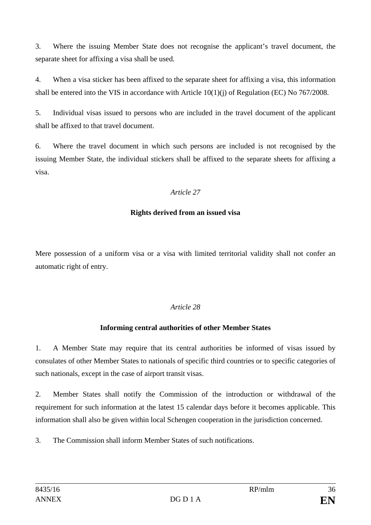3. Where the issuing Member State does not recognise the applicant's travel document, the separate sheet for affixing a visa shall be used.

4. When a visa sticker has been affixed to the separate sheet for affixing a visa, this information shall be entered into the VIS in accordance with Article  $10(1)(i)$  of Regulation (EC) No 767/2008.

5. Individual visas issued to persons who are included in the travel document of the applicant shall be affixed to that travel document.

6. Where the travel document in which such persons are included is not recognised by the issuing Member State, the individual stickers shall be affixed to the separate sheets for affixing a visa.

## *Article 27*

## **Rights derived from an issued visa**

Mere possession of a uniform visa or a visa with limited territorial validity shall not confer an automatic right of entry.

# *Article 28*

# **Informing central authorities of other Member States**

1. A Member State may require that its central authorities be informed of visas issued by consulates of other Member States to nationals of specific third countries or to specific categories of such nationals, except in the case of airport transit visas.

2. Member States shall notify the Commission of the introduction or withdrawal of the requirement for such information at the latest 15 calendar days before it becomes applicable. This information shall also be given within local Schengen cooperation in the jurisdiction concerned.

3. The Commission shall inform Member States of such notifications.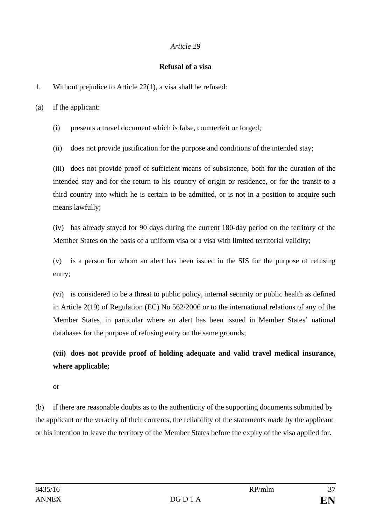#### **Refusal of a visa**

1. Without prejudice to Article 22(1), a visa shall be refused:

(a) if the applicant:

(i) presents a travel document which is false, counterfeit or forged;

(ii) does not provide justification for the purpose and conditions of the intended stay;

(iii) does not provide proof of sufficient means of subsistence, both for the duration of the intended stay and for the return to his country of origin or residence, or for the transit to a third country into which he is certain to be admitted, or is not in a position to acquire such means lawfully;

(iv) has already stayed for 90 days during the current 180-day period on the territory of the Member States on the basis of a uniform visa or a visa with limited territorial validity;

(v) is a person for whom an alert has been issued in the SIS for the purpose of refusing entry;

(vi) is considered to be a threat to public policy, internal security or public health as defined in Article 2(19) of Regulation (EC) No 562/2006 or to the international relations of any of the Member States, in particular where an alert has been issued in Member States' national databases for the purpose of refusing entry on the same grounds;

**(vii) does not provide proof of holding adequate and valid travel medical insurance, where applicable;**

or

(b) if there are reasonable doubts as to the authenticity of the supporting documents submitted by the applicant or the veracity of their contents, the reliability of the statements made by the applicant or his intention to leave the territory of the Member States before the expiry of the visa applied for.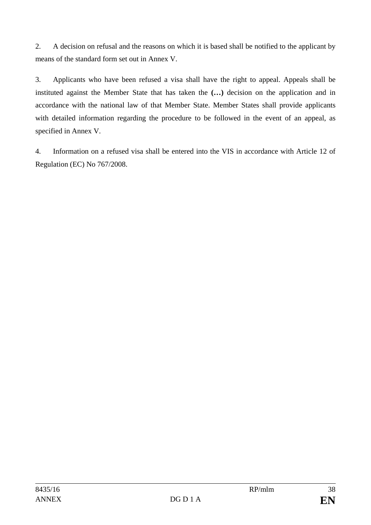2. A decision on refusal and the reasons on which it is based shall be notified to the applicant by means of the standard form set out in Annex V.

3. Applicants who have been refused a visa shall have the right to appeal. Appeals shall be instituted against the Member State that has taken the **(…)** decision on the application and in accordance with the national law of that Member State. Member States shall provide applicants with detailed information regarding the procedure to be followed in the event of an appeal, as specified in Annex V.

4. Information on a refused visa shall be entered into the VIS in accordance with Article 12 of Regulation (EC) No 767/2008.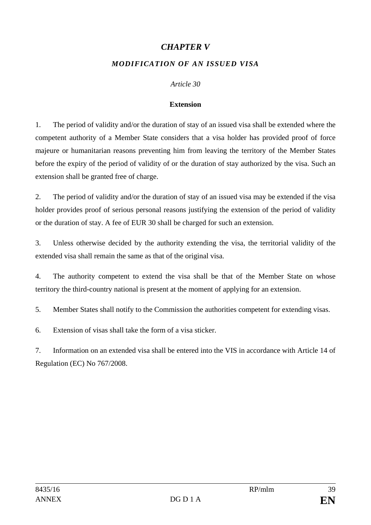## *CHAPTER V*

## *MODIFICATION OF AN ISSUED VISA*

#### *Article 30*

#### **Extension**

1. The period of validity and/or the duration of stay of an issued visa shall be extended where the competent authority of a Member State considers that a visa holder has provided proof of force majeure or humanitarian reasons preventing him from leaving the territory of the Member States before the expiry of the period of validity of or the duration of stay authorized by the visa. Such an extension shall be granted free of charge.

2. The period of validity and/or the duration of stay of an issued visa may be extended if the visa holder provides proof of serious personal reasons justifying the extension of the period of validity or the duration of stay. A fee of EUR 30 shall be charged for such an extension.

3. Unless otherwise decided by the authority extending the visa, the territorial validity of the extended visa shall remain the same as that of the original visa.

4. The authority competent to extend the visa shall be that of the Member State on whose territory the third-country national is present at the moment of applying for an extension.

5. Member States shall notify to the Commission the authorities competent for extending visas.

6. Extension of visas shall take the form of a visa sticker.

7. Information on an extended visa shall be entered into the VIS in accordance with Article 14 of Regulation (EC) No 767/2008.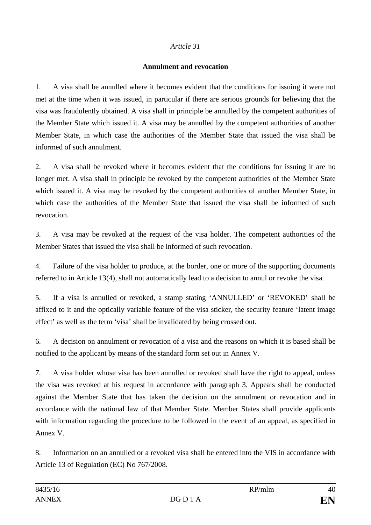#### **Annulment and revocation**

1. A visa shall be annulled where it becomes evident that the conditions for issuing it were not met at the time when it was issued, in particular if there are serious grounds for believing that the visa was fraudulently obtained. A visa shall in principle be annulled by the competent authorities of the Member State which issued it. A visa may be annulled by the competent authorities of another Member State, in which case the authorities of the Member State that issued the visa shall be informed of such annulment.

2. A visa shall be revoked where it becomes evident that the conditions for issuing it are no longer met. A visa shall in principle be revoked by the competent authorities of the Member State which issued it. A visa may be revoked by the competent authorities of another Member State, in which case the authorities of the Member State that issued the visa shall be informed of such revocation.

3. A visa may be revoked at the request of the visa holder. The competent authorities of the Member States that issued the visa shall be informed of such revocation.

4. Failure of the visa holder to produce, at the border, one or more of the supporting documents referred to in Article 13(4), shall not automatically lead to a decision to annul or revoke the visa.

5. If a visa is annulled or revoked, a stamp stating 'ANNULLED' or 'REVOKED' shall be affixed to it and the optically variable feature of the visa sticker, the security feature 'latent image effect' as well as the term 'visa' shall be invalidated by being crossed out.

6. A decision on annulment or revocation of a visa and the reasons on which it is based shall be notified to the applicant by means of the standard form set out in Annex V.

7. A visa holder whose visa has been annulled or revoked shall have the right to appeal, unless the visa was revoked at his request in accordance with paragraph 3. Appeals shall be conducted against the Member State that has taken the decision on the annulment or revocation and in accordance with the national law of that Member State. Member States shall provide applicants with information regarding the procedure to be followed in the event of an appeal, as specified in Annex V.

8. Information on an annulled or a revoked visa shall be entered into the VIS in accordance with Article 13 of Regulation (EC) No 767/2008.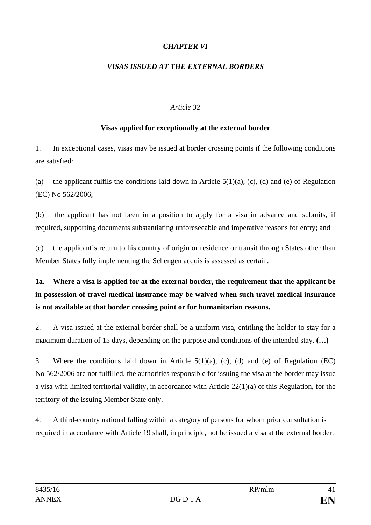## *CHAPTER VI*

#### *VISAS ISSUED AT THE EXTERNAL BORDERS*

#### *Article 32*

#### **Visas applied for exceptionally at the external border**

1. In exceptional cases, visas may be issued at border crossing points if the following conditions are satisfied:

(a) the applicant fulfils the conditions laid down in Article  $5(1)(a)$ , (c), (d) and (e) of Regulation (EC) No 562/2006;

(b) the applicant has not been in a position to apply for a visa in advance and submits, if required, supporting documents substantiating unforeseeable and imperative reasons for entry; and

(c) the applicant's return to his country of origin or residence or transit through States other than Member States fully implementing the Schengen acquis is assessed as certain.

**1a. Where a visa is applied for at the external border, the requirement that the applicant be in possession of travel medical insurance may be waived when such travel medical insurance is not available at that border crossing point or for humanitarian reasons.**

2. A visa issued at the external border shall be a uniform visa, entitling the holder to stay for a maximum duration of 15 days, depending on the purpose and conditions of the intended stay. **(…)**

3. Where the conditions laid down in Article 5(1)(a), (c), (d) and (e) of Regulation (EC) No 562/2006 are not fulfilled, the authorities responsible for issuing the visa at the border may issue a visa with limited territorial validity, in accordance with Article 22(1)(a) of this Regulation, for the territory of the issuing Member State only.

4. A third-country national falling within a category of persons for whom prior consultation is required in accordance with Article 19 shall, in principle, not be issued a visa at the external border.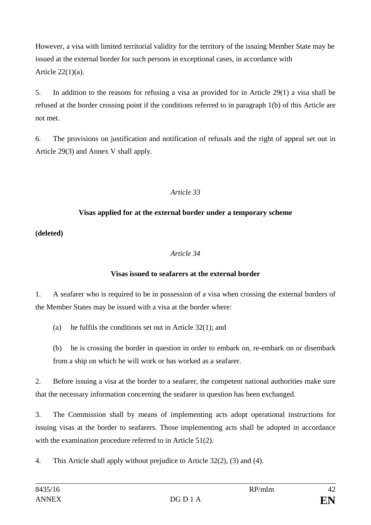However, a visa with limited territorial validity for the territory of the issuing Member State may be issued at the external border for such persons in exceptional cases, in accordance with Article 22(1)(a).

5. In addition to the reasons for refusing a visa as provided for in Article 29(1) a visa shall be refused at the border crossing point if the conditions referred to in paragraph 1(b) of this Article are not met.

6. The provisions on justification and notification of refusals and the right of appeal set out in Article 29(3) and Annex V shall apply.

#### *Article 33*

## **Visas applied for at the external border under a temporary scheme**

**(deleted)**

## *Article 34*

#### **Visas issued to seafarers at the external border**

1. A seafarer who is required to be in possession of a visa when crossing the external borders of the Member States may be issued with a visa at the border where:

(a) he fulfils the conditions set out in Article 32(1); and

(b) he is crossing the border in question in order to embark on, re-embark on or disembark from a ship on which he will work or has worked as a seafarer.

2. Before issuing a visa at the border to a seafarer, the competent national authorities make sure that the necessary information concerning the seafarer in question has been exchanged.

3. The Commission shall by means of implementing acts adopt operational instructions for issuing visas at the border to seafarers. Those implementing acts shall be adopted in accordance with the examination procedure referred to in Article 51(2).

4. This Article shall apply without prejudice to Article 32(2), (3) and (4).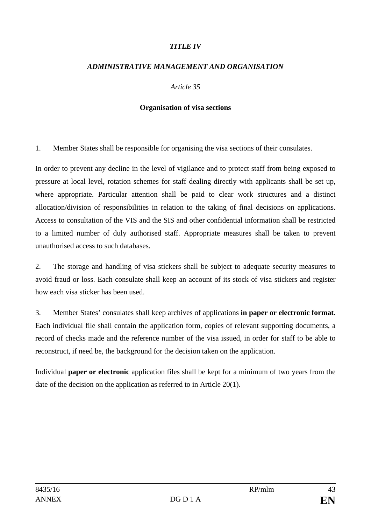#### *TITLE IV*

#### *ADMINISTRATIVE MANAGEMENT AND ORGANISATION*

#### *Article 35*

#### **Organisation of visa sections**

1. Member States shall be responsible for organising the visa sections of their consulates.

In order to prevent any decline in the level of vigilance and to protect staff from being exposed to pressure at local level, rotation schemes for staff dealing directly with applicants shall be set up, where appropriate. Particular attention shall be paid to clear work structures and a distinct allocation/division of responsibilities in relation to the taking of final decisions on applications. Access to consultation of the VIS and the SIS and other confidential information shall be restricted to a limited number of duly authorised staff. Appropriate measures shall be taken to prevent unauthorised access to such databases.

2. The storage and handling of visa stickers shall be subject to adequate security measures to avoid fraud or loss. Each consulate shall keep an account of its stock of visa stickers and register how each visa sticker has been used.

3. Member States' consulates shall keep archives of applications **in paper or electronic format**. Each individual file shall contain the application form, copies of relevant supporting documents, a record of checks made and the reference number of the visa issued, in order for staff to be able to reconstruct, if need be, the background for the decision taken on the application.

Individual **paper or electronic** application files shall be kept for a minimum of two years from the date of the decision on the application as referred to in Article 20(1).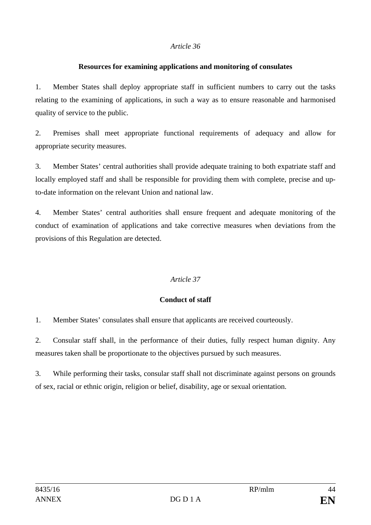#### **Resources for examining applications and monitoring of consulates**

1. Member States shall deploy appropriate staff in sufficient numbers to carry out the tasks relating to the examining of applications, in such a way as to ensure reasonable and harmonised quality of service to the public.

2. Premises shall meet appropriate functional requirements of adequacy and allow for appropriate security measures.

3. Member States' central authorities shall provide adequate training to both expatriate staff and locally employed staff and shall be responsible for providing them with complete, precise and upto-date information on the relevant Union and national law.

4. Member States' central authorities shall ensure frequent and adequate monitoring of the conduct of examination of applications and take corrective measures when deviations from the provisions of this Regulation are detected.

#### *Article 37*

#### **Conduct of staff**

1. Member States' consulates shall ensure that applicants are received courteously.

2. Consular staff shall, in the performance of their duties, fully respect human dignity. Any measures taken shall be proportionate to the objectives pursued by such measures.

3. While performing their tasks, consular staff shall not discriminate against persons on grounds of sex, racial or ethnic origin, religion or belief, disability, age or sexual orientation.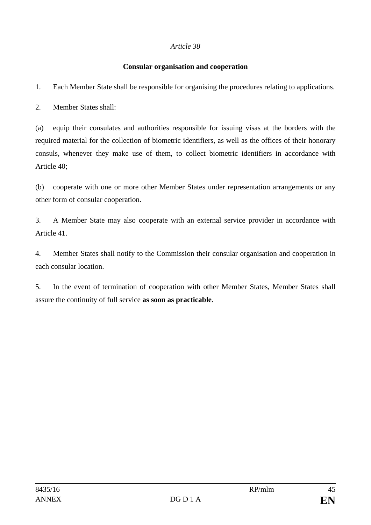#### **Consular organisation and cooperation**

1. Each Member State shall be responsible for organising the procedures relating to applications.

2. Member States shall:

(a) equip their consulates and authorities responsible for issuing visas at the borders with the required material for the collection of biometric identifiers, as well as the offices of their honorary consuls, whenever they make use of them, to collect biometric identifiers in accordance with Article 40;

(b) cooperate with one or more other Member States under representation arrangements or any other form of consular cooperation.

3. A Member State may also cooperate with an external service provider in accordance with Article 41.

4. Member States shall notify to the Commission their consular organisation and cooperation in each consular location.

5. In the event of termination of cooperation with other Member States, Member States shall assure the continuity of full service **as soon as practicable**.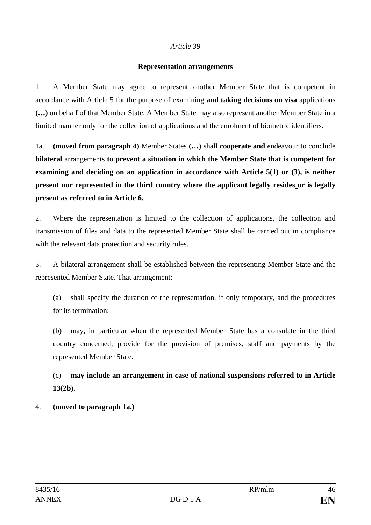#### **Representation arrangements**

1. A Member State may agree to represent another Member State that is competent in accordance with Article 5 for the purpose of examining **and taking decisions on visa** applications **(…)** on behalf of that Member State. A Member State may also represent another Member State in a limited manner only for the collection of applications and the enrolment of biometric identifiers.

1a. **(moved from paragraph 4)** Member States **(…)** shall **cooperate and** endeavour to conclude **bilateral** arrangements **to prevent a situation in which the Member State that is competent for examining and deciding on an application in accordance with Article 5(1) or (3), is neither present nor represented in the third country where the applicant legally resides or is legally present as referred to in Article 6.**

2. Where the representation is limited to the collection of applications, the collection and transmission of files and data to the represented Member State shall be carried out in compliance with the relevant data protection and security rules.

3. A bilateral arrangement shall be established between the representing Member State and the represented Member State. That arrangement:

(a) shall specify the duration of the representation, if only temporary, and the procedures for its termination;

(b) may, in particular when the represented Member State has a consulate in the third country concerned, provide for the provision of premises, staff and payments by the represented Member State.

(c) **may include an arrangement in case of national suspensions referred to in Article 13(2b).**

#### 4. **(moved to paragraph 1a.)**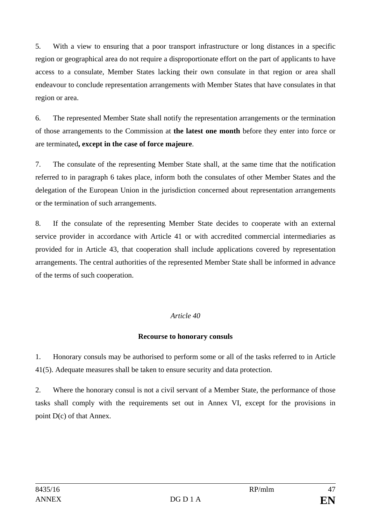5. With a view to ensuring that a poor transport infrastructure or long distances in a specific region or geographical area do not require a disproportionate effort on the part of applicants to have access to a consulate, Member States lacking their own consulate in that region or area shall endeavour to conclude representation arrangements with Member States that have consulates in that region or area.

6. The represented Member State shall notify the representation arrangements or the termination of those arrangements to the Commission at **the latest one month** before they enter into force or are terminated**, except in the case of force majeure**.

7. The consulate of the representing Member State shall, at the same time that the notification referred to in paragraph 6 takes place, inform both the consulates of other Member States and the delegation of the European Union in the jurisdiction concerned about representation arrangements or the termination of such arrangements.

8. If the consulate of the representing Member State decides to cooperate with an external service provider in accordance with Article 41 or with accredited commercial intermediaries as provided for in Article 43, that cooperation shall include applications covered by representation arrangements. The central authorities of the represented Member State shall be informed in advance of the terms of such cooperation.

## *Article 40*

#### **Recourse to honorary consuls**

1. Honorary consuls may be authorised to perform some or all of the tasks referred to in Article 41(5). Adequate measures shall be taken to ensure security and data protection.

2. Where the honorary consul is not a civil servant of a Member State, the performance of those tasks shall comply with the requirements set out in Annex VI, except for the provisions in point D(c) of that Annex.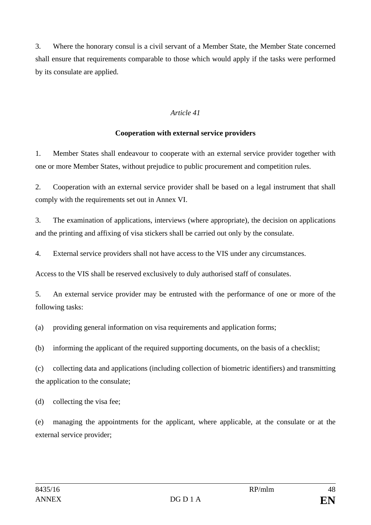3. Where the honorary consul is a civil servant of a Member State, the Member State concerned shall ensure that requirements comparable to those which would apply if the tasks were performed by its consulate are applied.

#### *Article 41*

#### **Cooperation with external service providers**

1. Member States shall endeavour to cooperate with an external service provider together with one or more Member States, without prejudice to public procurement and competition rules.

2. Cooperation with an external service provider shall be based on a legal instrument that shall comply with the requirements set out in Annex VI.

3. The examination of applications, interviews (where appropriate), the decision on applications and the printing and affixing of visa stickers shall be carried out only by the consulate.

4. External service providers shall not have access to the VIS under any circumstances.

Access to the VIS shall be reserved exclusively to duly authorised staff of consulates.

5. An external service provider may be entrusted with the performance of one or more of the following tasks:

(a) providing general information on visa requirements and application forms;

(b) informing the applicant of the required supporting documents, on the basis of a checklist;

(c) collecting data and applications (including collection of biometric identifiers) and transmitting the application to the consulate;

(d) collecting the visa fee;

(e) managing the appointments for the applicant, where applicable, at the consulate or at the external service provider;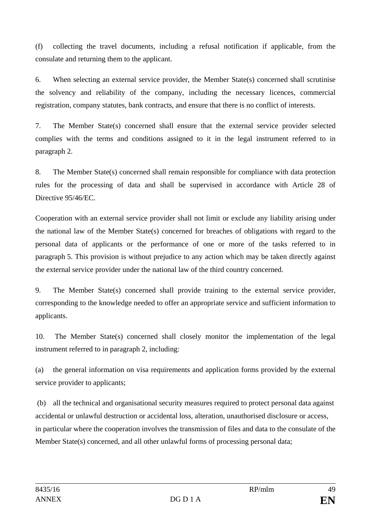(f) collecting the travel documents, including a refusal notification if applicable, from the consulate and returning them to the applicant.

6. When selecting an external service provider, the Member State(s) concerned shall scrutinise the solvency and reliability of the company, including the necessary licences, commercial registration, company statutes, bank contracts, and ensure that there is no conflict of interests.

7. The Member State(s) concerned shall ensure that the external service provider selected complies with the terms and conditions assigned to it in the legal instrument referred to in paragraph 2.

8. The Member State(s) concerned shall remain responsible for compliance with data protection rules for the processing of data and shall be supervised in accordance with Article 28 of Directive 95/46/EC.

Cooperation with an external service provider shall not limit or exclude any liability arising under the national law of the Member State(s) concerned for breaches of obligations with regard to the personal data of applicants or the performance of one or more of the tasks referred to in paragraph 5. This provision is without prejudice to any action which may be taken directly against the external service provider under the national law of the third country concerned.

9. The Member State(s) concerned shall provide training to the external service provider, corresponding to the knowledge needed to offer an appropriate service and sufficient information to applicants.

10. The Member State(s) concerned shall closely monitor the implementation of the legal instrument referred to in paragraph 2, including:

(a) the general information on visa requirements and application forms provided by the external service provider to applicants;

(b) all the technical and organisational security measures required to protect personal data against accidental or unlawful destruction or accidental loss, alteration, unauthorised disclosure or access, in particular where the cooperation involves the transmission of files and data to the consulate of the Member State(s) concerned, and all other unlawful forms of processing personal data;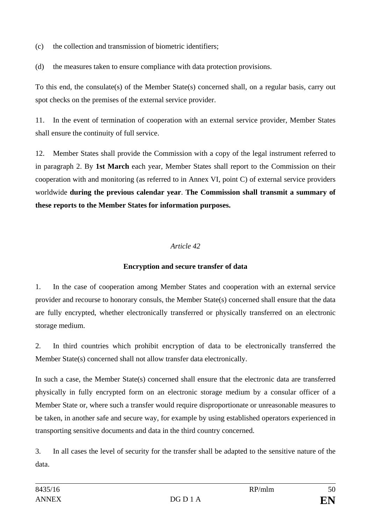(c) the collection and transmission of biometric identifiers;

(d) the measures taken to ensure compliance with data protection provisions.

To this end, the consulate(s) of the Member State(s) concerned shall, on a regular basis, carry out spot checks on the premises of the external service provider.

11. In the event of termination of cooperation with an external service provider, Member States shall ensure the continuity of full service.

12. Member States shall provide the Commission with a copy of the legal instrument referred to in paragraph 2. By **1st March** each year, Member States shall report to the Commission on their cooperation with and monitoring (as referred to in Annex VI, point C) of external service providers worldwide **during the previous calendar year**. **The Commission shall transmit a summary of these reports to the Member States for information purposes.**

## *Article 42*

## **Encryption and secure transfer of data**

1. In the case of cooperation among Member States and cooperation with an external service provider and recourse to honorary consuls, the Member State(s) concerned shall ensure that the data are fully encrypted, whether electronically transferred or physically transferred on an electronic storage medium.

2. In third countries which prohibit encryption of data to be electronically transferred the Member State(s) concerned shall not allow transfer data electronically.

In such a case, the Member State(s) concerned shall ensure that the electronic data are transferred physically in fully encrypted form on an electronic storage medium by a consular officer of a Member State or, where such a transfer would require disproportionate or unreasonable measures to be taken, in another safe and secure way, for example by using established operators experienced in transporting sensitive documents and data in the third country concerned.

3. In all cases the level of security for the transfer shall be adapted to the sensitive nature of the data.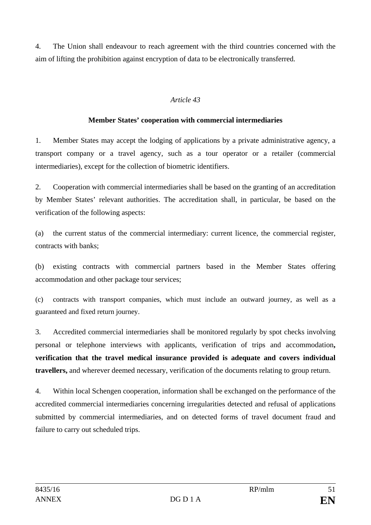4. The Union shall endeavour to reach agreement with the third countries concerned with the aim of lifting the prohibition against encryption of data to be electronically transferred.

## *Article 43*

#### **Member States' cooperation with commercial intermediaries**

1. Member States may accept the lodging of applications by a private administrative agency, a transport company or a travel agency, such as a tour operator or a retailer (commercial intermediaries), except for the collection of biometric identifiers.

2. Cooperation with commercial intermediaries shall be based on the granting of an accreditation by Member States' relevant authorities. The accreditation shall, in particular, be based on the verification of the following aspects:

(a) the current status of the commercial intermediary: current licence, the commercial register, contracts with banks;

(b) existing contracts with commercial partners based in the Member States offering accommodation and other package tour services;

(c) contracts with transport companies, which must include an outward journey, as well as a guaranteed and fixed return journey.

3. Accredited commercial intermediaries shall be monitored regularly by spot checks involving personal or telephone interviews with applicants, verification of trips and accommodation**, verification that the travel medical insurance provided is adequate and covers individual travellers,** and wherever deemed necessary, verification of the documents relating to group return.

4. Within local Schengen cooperation, information shall be exchanged on the performance of the accredited commercial intermediaries concerning irregularities detected and refusal of applications submitted by commercial intermediaries, and on detected forms of travel document fraud and failure to carry out scheduled trips.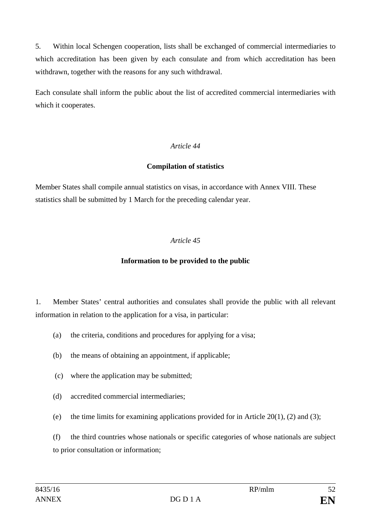5. Within local Schengen cooperation, lists shall be exchanged of commercial intermediaries to which accreditation has been given by each consulate and from which accreditation has been withdrawn, together with the reasons for any such withdrawal.

Each consulate shall inform the public about the list of accredited commercial intermediaries with which it cooperates.

## *Article 44*

#### **Compilation of statistics**

Member States shall compile annual statistics on visas, in accordance with Annex VIII. These statistics shall be submitted by 1 March for the preceding calendar year.

#### *Article 45*

#### **Information to be provided to the public**

1. Member States' central authorities and consulates shall provide the public with all relevant information in relation to the application for a visa, in particular:

- (a) the criteria, conditions and procedures for applying for a visa;
- (b) the means of obtaining an appointment, if applicable;
- (c) where the application may be submitted;
- (d) accredited commercial intermediaries;
- (e) the time limits for examining applications provided for in Article  $20(1)$ ,  $(2)$  and  $(3)$ ;

(f) the third countries whose nationals or specific categories of whose nationals are subject to prior consultation or information;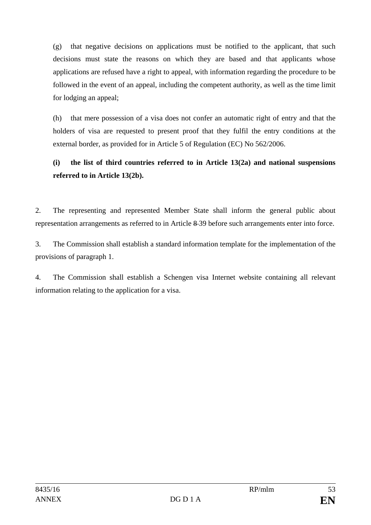(g) that negative decisions on applications must be notified to the applicant, that such decisions must state the reasons on which they are based and that applicants whose applications are refused have a right to appeal, with information regarding the procedure to be followed in the event of an appeal, including the competent authority, as well as the time limit for lodging an appeal;

(h) that mere possession of a visa does not confer an automatic right of entry and that the holders of visa are requested to present proof that they fulfil the entry conditions at the external border, as provided for in Article 5 of Regulation (EC) No 562/2006.

## **(i) the list of third countries referred to in Article 13(2a) and national suspensions referred to in Article 13(2b).**

2. The representing and represented Member State shall inform the general public about representation arrangements as referred to in Article 8 39 before such arrangements enter into force.

3. The Commission shall establish a standard information template for the implementation of the provisions of paragraph 1.

4. The Commission shall establish a Schengen visa Internet website containing all relevant information relating to the application for a visa.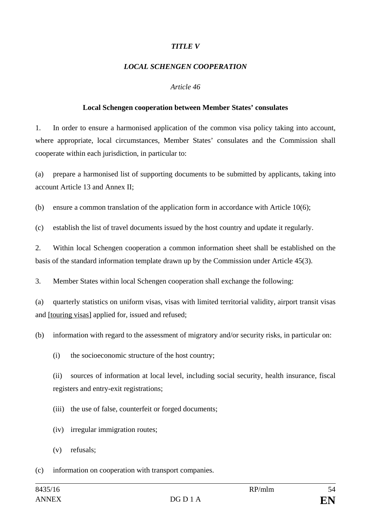#### *TITLE V*

#### *LOCAL SCHENGEN COOPERATION*

#### *Article 46*

#### **Local Schengen cooperation between Member States' consulates**

1. In order to ensure a harmonised application of the common visa policy taking into account, where appropriate, local circumstances, Member States' consulates and the Commission shall cooperate within each jurisdiction, in particular to:

(a) prepare a harmonised list of supporting documents to be submitted by applicants, taking into account Article 13 and Annex II;

(b) ensure a common translation of the application form in accordance with Article 10(6);

(c) establish the list of travel documents issued by the host country and update it regularly.

2. Within local Schengen cooperation a common information sheet shall be established on the basis of the standard information template drawn up by the Commission under Article 45(3).

3. Member States within local Schengen cooperation shall exchange the following:

(a) quarterly statistics on uniform visas, visas with limited territorial validity, airport transit visas and [touring visas] applied for, issued and refused;

(b) information with regard to the assessment of migratory and/or security risks, in particular on:

(i) the socioeconomic structure of the host country;

(ii) sources of information at local level, including social security, health insurance, fiscal registers and entry-exit registrations;

(iii) the use of false, counterfeit or forged documents;

- (iv) irregular immigration routes;
- (v) refusals;

(c) information on cooperation with transport companies.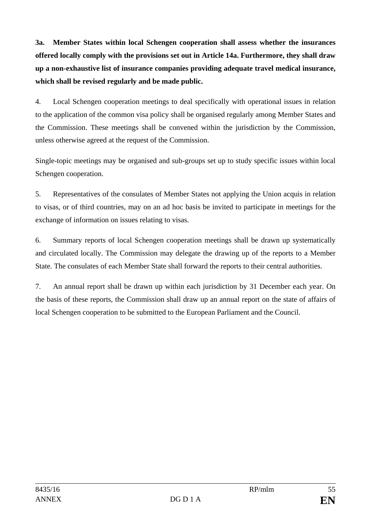**3a. Member States within local Schengen cooperation shall assess whether the insurances offered locally comply with the provisions set out in Article 14a. Furthermore, they shall draw up a non-exhaustive list of insurance companies providing adequate travel medical insurance, which shall be revised regularly and be made public.**

4. Local Schengen cooperation meetings to deal specifically with operational issues in relation to the application of the common visa policy shall be organised regularly among Member States and the Commission. These meetings shall be convened within the jurisdiction by the Commission, unless otherwise agreed at the request of the Commission.

Single-topic meetings may be organised and sub-groups set up to study specific issues within local Schengen cooperation.

5. Representatives of the consulates of Member States not applying the Union acquis in relation to visas, or of third countries, may on an ad hoc basis be invited to participate in meetings for the exchange of information on issues relating to visas.

6. Summary reports of local Schengen cooperation meetings shall be drawn up systematically and circulated locally. The Commission may delegate the drawing up of the reports to a Member State. The consulates of each Member State shall forward the reports to their central authorities.

7. An annual report shall be drawn up within each jurisdiction by 31 December each year. On the basis of these reports, the Commission shall draw up an annual report on the state of affairs of local Schengen cooperation to be submitted to the European Parliament and the Council.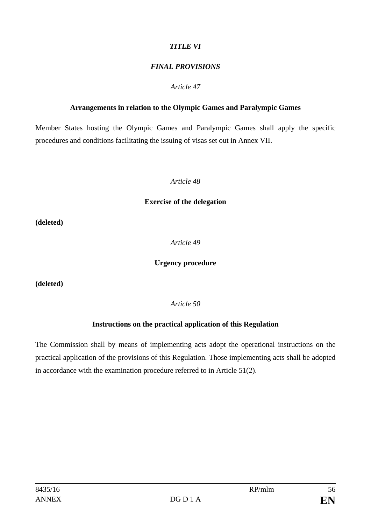## *TITLE VI*

## *FINAL PROVISIONS*

#### *Article 47*

#### **Arrangements in relation to the Olympic Games and Paralympic Games**

Member States hosting the Olympic Games and Paralympic Games shall apply the specific procedures and conditions facilitating the issuing of visas set out in Annex VII.

#### *Article 48*

#### **Exercise of the delegation**

**(deleted)**

*Article 49*

#### **Urgency procedure**

**(deleted)** 

*Article 50*

#### **Instructions on the practical application of this Regulation**

The Commission shall by means of implementing acts adopt the operational instructions on the practical application of the provisions of this Regulation. Those implementing acts shall be adopted in accordance with the examination procedure referred to in Article 51(2).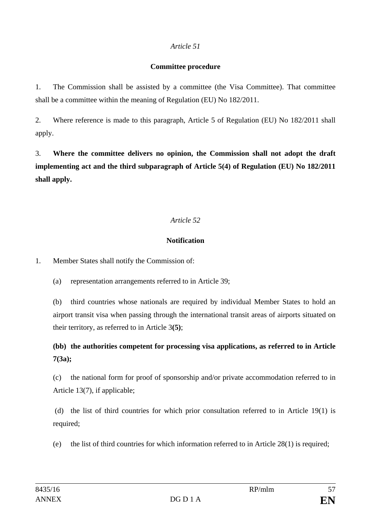#### **Committee procedure**

1. The Commission shall be assisted by a committee (the Visa Committee). That committee shall be a committee within the meaning of Regulation (EU) No 182/2011.

2. Where reference is made to this paragraph, Article 5 of Regulation (EU) No 182/2011 shall apply.

3. **Where the committee delivers no opinion, the Commission shall not adopt the draft implementing act and the third subparagraph of Article 5(4) of Regulation (EU) No 182/2011 shall apply.**

## *Article 52*

## **Notification**

1. Member States shall notify the Commission of:

(a) representation arrangements referred to in Article 39;

(b) third countries whose nationals are required by individual Member States to hold an airport transit visa when passing through the international transit areas of airports situated on their territory, as referred to in Article 3**(5)**;

**(bb) the authorities competent for processing visa applications, as referred to in Article 7(3a);**

(c) the national form for proof of sponsorship and/or private accommodation referred to in Article 13(7), if applicable;

(d) the list of third countries for which prior consultation referred to in Article 19(1) is required;

(e) the list of third countries for which information referred to in Article 28(1) is required;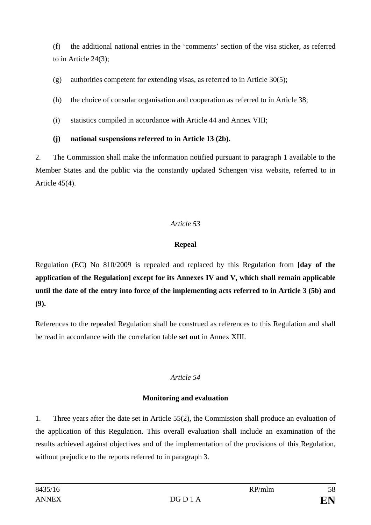(f) the additional national entries in the 'comments' section of the visa sticker, as referred to in Article 24(3);

(g) authorities competent for extending visas, as referred to in Article 30(5);

(h) the choice of consular organisation and cooperation as referred to in Article 38;

(i) statistics compiled in accordance with Article 44 and Annex VIII;

## **(j) national suspensions referred to in Article 13 (2b).**

2. The Commission shall make the information notified pursuant to paragraph 1 available to the Member States and the public via the constantly updated Schengen visa website, referred to in Article 45(4).

## *Article 53*

## **Repeal**

Regulation (EC) No 810/2009 is repealed and replaced by this Regulation from **[day of the application of the Regulation] except for its Annexes IV and V, which shall remain applicable until the date of the entry into force of the implementing acts referred to in Article 3 (5b) and (9).**

References to the repealed Regulation shall be construed as references to this Regulation and shall be read in accordance with the correlation table **set out** in Annex XIII.

## *Article 54*

## **Monitoring and evaluation**

1. Three years after the date set in Article 55(2), the Commission shall produce an evaluation of the application of this Regulation. This overall evaluation shall include an examination of the results achieved against objectives and of the implementation of the provisions of this Regulation, without prejudice to the reports referred to in paragraph 3.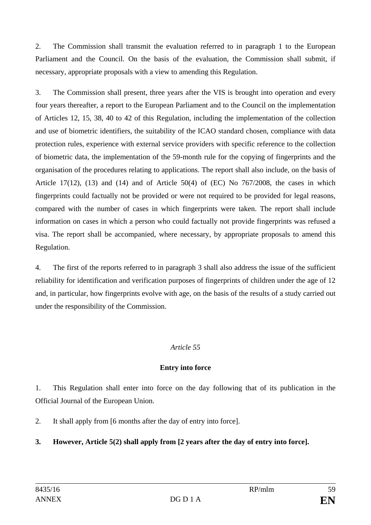2. The Commission shall transmit the evaluation referred to in paragraph 1 to the European Parliament and the Council. On the basis of the evaluation, the Commission shall submit, if necessary, appropriate proposals with a view to amending this Regulation.

3. The Commission shall present, three years after the VIS is brought into operation and every four years thereafter, a report to the European Parliament and to the Council on the implementation of Articles 12, 15, 38, 40 to 42 of this Regulation, including the implementation of the collection and use of biometric identifiers, the suitability of the ICAO standard chosen, compliance with data protection rules, experience with external service providers with specific reference to the collection of biometric data, the implementation of the 59-month rule for the copying of fingerprints and the organisation of the procedures relating to applications. The report shall also include, on the basis of Article 17(12), (13) and (14) and of Article 50(4) of (EC) No  $767/2008$ , the cases in which fingerprints could factually not be provided or were not required to be provided for legal reasons, compared with the number of cases in which fingerprints were taken. The report shall include information on cases in which a person who could factually not provide fingerprints was refused a visa. The report shall be accompanied, where necessary, by appropriate proposals to amend this Regulation.

4. The first of the reports referred to in paragraph 3 shall also address the issue of the sufficient reliability for identification and verification purposes of fingerprints of children under the age of 12 and, in particular, how fingerprints evolve with age, on the basis of the results of a study carried out under the responsibility of the Commission.

#### *Article 55*

## **Entry into force**

1. This Regulation shall enter into force on the day following that of its publication in the Official Journal of the European Union.

2. It shall apply from [6 months after the day of entry into force].

## **3. However, Article 5(2) shall apply from [2 years after the day of entry into force].**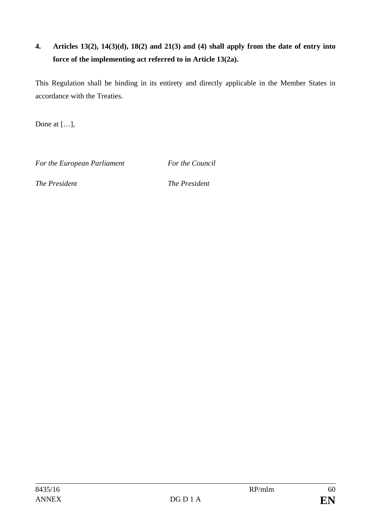## **4. Articles 13(2), 14(3)(d), 18(2) and 21(3) and (4) shall apply from the date of entry into force of the implementing act referred to in Article 13(2a).**

This Regulation shall be binding in its entirety and directly applicable in the Member States in accordance with the Treaties.

Done at […],

*For the European Parliament For the Council*

*The President The President*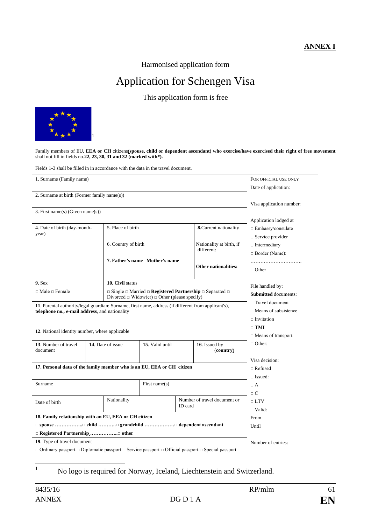#### **ANNEX I**

Harmonised application form

# Application for Schengen Visa

This application form is free



Family members of EU**, EEA or CH** citizens(**spouse, child or dependent ascendant) who exercise/have exercised their right of free movement** shall not fill in fields no.**22, 23, 30, 31 and 32 (marked with\*).**

Fields 1-3 shall be filled in in accordance with the data in the travel document.

| 1. Surname (Family name)                                                                            |                                                                                                                       |                                                                                                     |                                |                                                                                                                                                                                                                                                                                                                                                                                                                                                                                                                           |  |  |  |  |  |
|-----------------------------------------------------------------------------------------------------|-----------------------------------------------------------------------------------------------------------------------|-----------------------------------------------------------------------------------------------------|--------------------------------|---------------------------------------------------------------------------------------------------------------------------------------------------------------------------------------------------------------------------------------------------------------------------------------------------------------------------------------------------------------------------------------------------------------------------------------------------------------------------------------------------------------------------|--|--|--|--|--|
|                                                                                                     |                                                                                                                       |                                                                                                     |                                |                                                                                                                                                                                                                                                                                                                                                                                                                                                                                                                           |  |  |  |  |  |
| 2. Surname at birth (Former family name(s))                                                         |                                                                                                                       |                                                                                                     |                                |                                                                                                                                                                                                                                                                                                                                                                                                                                                                                                                           |  |  |  |  |  |
|                                                                                                     |                                                                                                                       |                                                                                                     |                                |                                                                                                                                                                                                                                                                                                                                                                                                                                                                                                                           |  |  |  |  |  |
|                                                                                                     |                                                                                                                       |                                                                                                     |                                |                                                                                                                                                                                                                                                                                                                                                                                                                                                                                                                           |  |  |  |  |  |
| 3. First name(s) (Given name(s))                                                                    |                                                                                                                       |                                                                                                     |                                |                                                                                                                                                                                                                                                                                                                                                                                                                                                                                                                           |  |  |  |  |  |
|                                                                                                     |                                                                                                                       |                                                                                                     |                                | Application lodged at<br>$\Box$ Embassy/consulate                                                                                                                                                                                                                                                                                                                                                                                                                                                                         |  |  |  |  |  |
|                                                                                                     |                                                                                                                       |                                                                                                     |                                | $\Box$ Service provider                                                                                                                                                                                                                                                                                                                                                                                                                                                                                                   |  |  |  |  |  |
|                                                                                                     |                                                                                                                       |                                                                                                     |                                | $\Box$ Intermediary                                                                                                                                                                                                                                                                                                                                                                                                                                                                                                       |  |  |  |  |  |
|                                                                                                     |                                                                                                                       |                                                                                                     |                                |                                                                                                                                                                                                                                                                                                                                                                                                                                                                                                                           |  |  |  |  |  |
|                                                                                                     |                                                                                                                       |                                                                                                     |                                | $\Box$ Border (Name):                                                                                                                                                                                                                                                                                                                                                                                                                                                                                                     |  |  |  |  |  |
|                                                                                                     |                                                                                                                       |                                                                                                     |                                |                                                                                                                                                                                                                                                                                                                                                                                                                                                                                                                           |  |  |  |  |  |
|                                                                                                     |                                                                                                                       |                                                                                                     |                                | $\Box$ Other                                                                                                                                                                                                                                                                                                                                                                                                                                                                                                              |  |  |  |  |  |
| $9.$ Sex                                                                                            |                                                                                                                       |                                                                                                     |                                |                                                                                                                                                                                                                                                                                                                                                                                                                                                                                                                           |  |  |  |  |  |
|                                                                                                     |                                                                                                                       |                                                                                                     |                                | File handled by:                                                                                                                                                                                                                                                                                                                                                                                                                                                                                                          |  |  |  |  |  |
|                                                                                                     |                                                                                                                       |                                                                                                     | <b>Submitted</b> documents:    |                                                                                                                                                                                                                                                                                                                                                                                                                                                                                                                           |  |  |  |  |  |
|                                                                                                     |                                                                                                                       |                                                                                                     |                                |                                                                                                                                                                                                                                                                                                                                                                                                                                                                                                                           |  |  |  |  |  |
|                                                                                                     |                                                                                                                       |                                                                                                     |                                | $\Box$ Means of subsistence                                                                                                                                                                                                                                                                                                                                                                                                                                                                                               |  |  |  |  |  |
|                                                                                                     |                                                                                                                       |                                                                                                     |                                | $\Box$ Invitation                                                                                                                                                                                                                                                                                                                                                                                                                                                                                                         |  |  |  |  |  |
|                                                                                                     |                                                                                                                       |                                                                                                     |                                | $\Box$ TMI                                                                                                                                                                                                                                                                                                                                                                                                                                                                                                                |  |  |  |  |  |
|                                                                                                     |                                                                                                                       |                                                                                                     |                                | □ Means of transport                                                                                                                                                                                                                                                                                                                                                                                                                                                                                                      |  |  |  |  |  |
|                                                                                                     |                                                                                                                       |                                                                                                     |                                | $\Box$ Other:                                                                                                                                                                                                                                                                                                                                                                                                                                                                                                             |  |  |  |  |  |
|                                                                                                     |                                                                                                                       |                                                                                                     |                                |                                                                                                                                                                                                                                                                                                                                                                                                                                                                                                                           |  |  |  |  |  |
|                                                                                                     |                                                                                                                       |                                                                                                     |                                |                                                                                                                                                                                                                                                                                                                                                                                                                                                                                                                           |  |  |  |  |  |
|                                                                                                     |                                                                                                                       |                                                                                                     |                                | Visa decision:                                                                                                                                                                                                                                                                                                                                                                                                                                                                                                            |  |  |  |  |  |
|                                                                                                     |                                                                                                                       |                                                                                                     |                                | $\Box$ Refused                                                                                                                                                                                                                                                                                                                                                                                                                                                                                                            |  |  |  |  |  |
|                                                                                                     |                                                                                                                       |                                                                                                     |                                | $\Box$ Issued:                                                                                                                                                                                                                                                                                                                                                                                                                                                                                                            |  |  |  |  |  |
|                                                                                                     |                                                                                                                       |                                                                                                     |                                | $\Box$ A                                                                                                                                                                                                                                                                                                                                                                                                                                                                                                                  |  |  |  |  |  |
|                                                                                                     |                                                                                                                       |                                                                                                     |                                | $\Box$ C                                                                                                                                                                                                                                                                                                                                                                                                                                                                                                                  |  |  |  |  |  |
| Nationality                                                                                         |                                                                                                                       |                                                                                                     |                                | $\sqcap$ LTV                                                                                                                                                                                                                                                                                                                                                                                                                                                                                                              |  |  |  |  |  |
|                                                                                                     |                                                                                                                       |                                                                                                     |                                | $\Box$ Valid:                                                                                                                                                                                                                                                                                                                                                                                                                                                                                                             |  |  |  |  |  |
| 18. Family relationship with an EU, EEA or CH citizen                                               |                                                                                                                       |                                                                                                     |                                |                                                                                                                                                                                                                                                                                                                                                                                                                                                                                                                           |  |  |  |  |  |
| □ spouse □ child □ grandchild □ dependent ascendant                                                 |                                                                                                                       |                                                                                                     |                                |                                                                                                                                                                                                                                                                                                                                                                                                                                                                                                                           |  |  |  |  |  |
| □ Registered Partnership  other                                                                     |                                                                                                                       |                                                                                                     |                                |                                                                                                                                                                                                                                                                                                                                                                                                                                                                                                                           |  |  |  |  |  |
| 19. Type of travel document                                                                         |                                                                                                                       |                                                                                                     |                                |                                                                                                                                                                                                                                                                                                                                                                                                                                                                                                                           |  |  |  |  |  |
| □ Ordinary passport □ Diplomatic passport □ Service passport □ Official passport □ Special passport |                                                                                                                       |                                                                                                     |                                |                                                                                                                                                                                                                                                                                                                                                                                                                                                                                                                           |  |  |  |  |  |
|                                                                                                     | telephone no., e-mail address, and nationality<br>12. National identity number, where applicable<br>14. Date of issue | 5. Place of birth<br>6. Country of birth<br>10. Civil status<br>15. Valid until<br>First name $(s)$ | 7. Father's name Mother's name | <b>8.</b> Current nationality<br>Nationality at birth, if<br>different:<br><b>Other nationalities:</b><br>$\Box$ Single $\Box$ Married $\Box$ <b>Registered Partnership</b> $\Box$ Separated $\Box$<br>Divorced $\Box$ Widow(er) $\Box$ Other (please specify)<br>11. Parental authority/legal guardian: Surname, first name, address (if different from applicant's),<br>16. Issued by<br>(country)<br>17. Personal data of the family member who is an EU, EEA or CH citizen<br>Number of travel document or<br>ID card |  |  |  |  |  |

<span id="page-60-0"></span>**<sup>1</sup>** No logo is required for Norway, Iceland, Liechtenstein and Switzerland.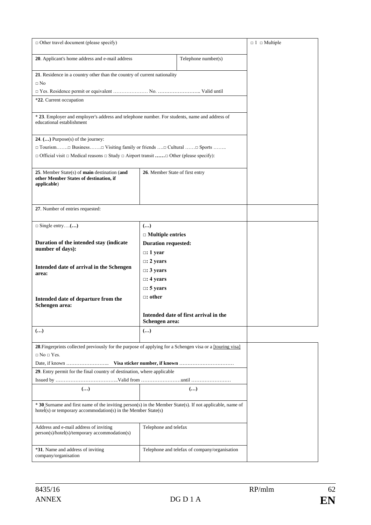| $\Box$ Other travel document (please specify)                                                                                                                             | $\Box$ 1 $\Box$ Multiple             |                                       |  |  |  |  |  |
|---------------------------------------------------------------------------------------------------------------------------------------------------------------------------|--------------------------------------|---------------------------------------|--|--|--|--|--|
| 20. Applicant's home address and e-mail address                                                                                                                           |                                      |                                       |  |  |  |  |  |
| 21. Residence in a country other than the country of current nationality<br>$\Box$ No                                                                                     |                                      |                                       |  |  |  |  |  |
|                                                                                                                                                                           |                                      |                                       |  |  |  |  |  |
| *22. Current occupation                                                                                                                                                   |                                      |                                       |  |  |  |  |  |
| * 23. Employer and employer's address and telephone number. For students, name and address of<br>educational establishment                                                |                                      |                                       |  |  |  |  |  |
| 24. $()$ Purpose(s) of the journey:                                                                                                                                       |                                      |                                       |  |  |  |  |  |
| $\Box$ Tourism $\Box$ Business $\Box$ Visiting family or friends $\Box$ Cultural $\Box$ Sports                                                                            |                                      |                                       |  |  |  |  |  |
| $\Box$ Official visit $\Box$ Medical reasons $\Box$ Study $\Box$ Airport transit $\Box$ Other (please specify):                                                           |                                      |                                       |  |  |  |  |  |
| 25. Member State(s) of <b>main</b> destination (and<br>other Member States of destination, if<br>applicable)                                                              |                                      |                                       |  |  |  |  |  |
| 27. Number of entries requested:                                                                                                                                          |                                      |                                       |  |  |  |  |  |
| $\Box$ Single entry()                                                                                                                                                     |                                      |                                       |  |  |  |  |  |
|                                                                                                                                                                           |                                      |                                       |  |  |  |  |  |
| Duration of the intended stay (indicate                                                                                                                                   |                                      |                                       |  |  |  |  |  |
| number of days):                                                                                                                                                          | $\Box$ : 1 year                      |                                       |  |  |  |  |  |
|                                                                                                                                                                           | $\Box$ : 2 years<br>$\Box$ : 3 years |                                       |  |  |  |  |  |
| Intended date of arrival in the Schengen                                                                                                                                  |                                      |                                       |  |  |  |  |  |
| area:                                                                                                                                                                     | $\Box$ : 4 years                     |                                       |  |  |  |  |  |
|                                                                                                                                                                           | $\Box$ : 5 years                     |                                       |  |  |  |  |  |
|                                                                                                                                                                           |                                      |                                       |  |  |  |  |  |
| Intended date of departure from the<br>Schengen area:                                                                                                                     |                                      |                                       |  |  |  |  |  |
|                                                                                                                                                                           | Schengen area:                       | Intended date of first arrival in the |  |  |  |  |  |
| $(\ldots)$                                                                                                                                                                |                                      |                                       |  |  |  |  |  |
| 28. Fingerprints collected previously for the purpose of applying for a Schengen visa or a [touring visa]<br>$\Box$ No $\Box$ Yes.                                        |                                      |                                       |  |  |  |  |  |
|                                                                                                                                                                           |                                      |                                       |  |  |  |  |  |
| 29. Entry permit for the final country of destination, where applicable                                                                                                   |                                      |                                       |  |  |  |  |  |
|                                                                                                                                                                           |                                      |                                       |  |  |  |  |  |
| $(\ldots)$                                                                                                                                                                |                                      | $\left( \ldots \right)$               |  |  |  |  |  |
| * 30 Surname and first name of the inviting person(s) in the Member State(s). If not applicable, name of<br>hotel(s) or temporary accommodation(s) in the Member State(s) |                                      |                                       |  |  |  |  |  |
| Address and e-mail address of inviting<br>person(s)/hotel(s)/temporary accommodation(s)                                                                                   |                                      |                                       |  |  |  |  |  |
| *31. Name and address of inviting<br>company/organisation                                                                                                                 |                                      |                                       |  |  |  |  |  |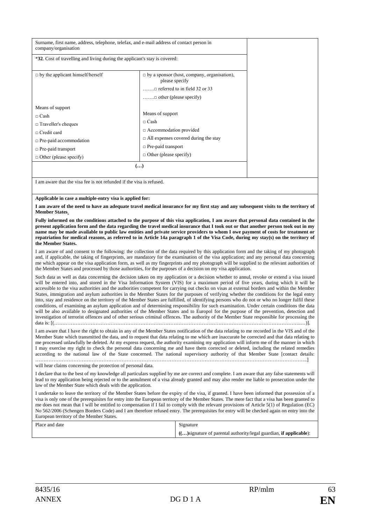| Surname, first name, address, telephone, telefax, and e-mail address of contact person in<br>company/organisation                                                                               |                                                                                                                                                                               |  |  |  |  |  |  |
|-------------------------------------------------------------------------------------------------------------------------------------------------------------------------------------------------|-------------------------------------------------------------------------------------------------------------------------------------------------------------------------------|--|--|--|--|--|--|
| *32. Cost of travelling and living during the applicant's stay is covered:                                                                                                                      |                                                                                                                                                                               |  |  |  |  |  |  |
| $\Box$ by the applicant himself/herself                                                                                                                                                         | $\Box$ by a sponsor (host, company, organisation),<br>please specify<br>$\dots$ referred to in field 32 or 33<br>$\dots \dots \square$ other (please specify)                 |  |  |  |  |  |  |
| Means of support<br>$\sqcap$ Cash<br>$\Box$ Traveller's cheques<br>$\Box$ Credit card<br>$\Box$ Pre-paid accommodation<br>$\Box$ Pre-paid transport<br>$\Box$ Other (please specify)            | Means of support<br>$\Box$ Cash<br>$\Box$ Accommodation provided<br>$\Box$ All expenses covered during the stay<br>$\Box$ Pre-paid transport<br>$\Box$ Other (please specify) |  |  |  |  |  |  |
| $(\ldots)$                                                                                                                                                                                      |                                                                                                                                                                               |  |  |  |  |  |  |
| I am aware that the visa fee is not refunded if the visa is refused.                                                                                                                            |                                                                                                                                                                               |  |  |  |  |  |  |
| Applicable in case a multiple-entry visa is applied for:<br>I am aware of the need to have an adequate travel medical insurance for my first stay and any subsequent visits to the territory of |                                                                                                                                                                               |  |  |  |  |  |  |

**Member States**. **Fully informed on the conditions attached to the purpose of this visa application, I am aware that personal data contained in the present application form and the data regarding the travel medical insurance that I took out or that another person took out in my name may be made available to public law entities and private service providers to whom I owe payment of costs for treatment or repatriation for medical reasons, as referred to in Article 14a paragraph 1 of the Visa Code, during my stay(s) on the territory of** 

#### **the Member States.**

I am aware of and consent to the following: the collection of the data required by this application form and the taking of my photograph and, if applicable, the taking of fingerprints, are mandatory for the examination of the visa application; and any personal data concerning me which appear on the visa application form, as well as my fingerprints and my photograph will be supplied to the relevant authorities of the Member States and processed by those authorities, for the purposes of a decision on my visa application.

Such data as well as data concerning the decision taken on my application or a decision whether to annul, revoke or extend a visa issued will be entered into, and stored in the Visa Information System (VIS) for a maximum period of five years, during which it will be accessible to the visa authorities and the authorities competent for carrying out checks on visas at external borders and within the Member States, immigration and asylum authorities in the Member States for the purposes of verifying whether the conditions for the legal entry into, stay and residence on the territory of the Member States are fulfilled, of identifying persons who do not or who no longer fulfil these conditions, of examining an asylum application and of determining responsibility for such examination. Under certain conditions the data will be also available to designated authorities of the Member States and to Europol for the purpose of the prevention, detection and investigation of terrorist offences and of other serious criminal offences. The authority of the Member State responsible for processing the data is: [(…………………………………………………………………………………………………………………………………..…)].

I am aware that I have the right to obtain in any of the Member States notification of the data relating to me recorded in the VIS and of the Member State which transmitted the data, and to request that data relating to me which are inaccurate be corrected and that data relating to me processed unlawfully be deleted. At my express request, the authority examining my application will inform me of the manner in which I may exercise my right to check the personal data concerning me and have them corrected or deleted, including the related remedies according to the national law of the State concerned. The national supervisory authority of that Member State [contact details: ………………………………………………………………………………………………………………………………………………..]

will hear claims concerning the protection of personal data.

I declare that to the best of my knowledge all particulars supplied by me are correct and complete. I am aware that any false statements will lead to my application being rejected or to the annulment of a visa already granted and may also render me liable to prosecution under the law of the Member State which deals with the application.

I undertake to leave the territory of the Member States before the expiry of the visa, if granted. I have been informed that possession of a visa is only one of the prerequisites for entry into the European territory of the Member States. The mere fact that a visa has been granted to me does not mean that I will be entitled to compensation if I fail to comply with the relevant provisions of Article 5(1) of Regulation (EC) No 562/2006 (Schengen Borders Code) and I am therefore refused entry. The prerequisites for entry will be checked again on entry into the European territory of the Member States.

| Place and date | Signature                                                          |  |  |  |  |
|----------------|--------------------------------------------------------------------|--|--|--|--|
|                | () signature of parental authority/legal guardian, if applicable): |  |  |  |  |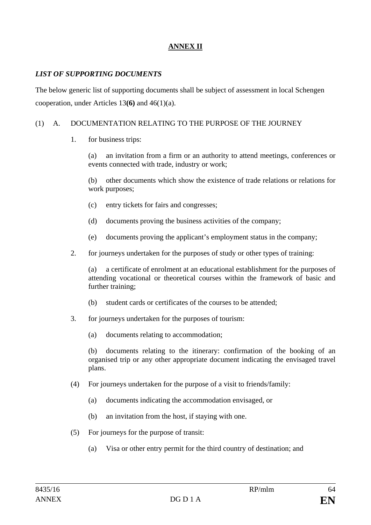## **ANNEX II**

#### *LIST OF SUPPORTING DOCUMENTS*

The below generic list of supporting documents shall be subject of assessment in local Schengen cooperation, under Articles 13**(6)** and 46(1)(a).

#### (1) A. DOCUMENTATION RELATING TO THE PURPOSE OF THE JOURNEY

1. for business trips:

(a) an invitation from a firm or an authority to attend meetings, conferences or events connected with trade, industry or work;

(b) other documents which show the existence of trade relations or relations for work purposes;

- (c) entry tickets for fairs and congresses;
- (d) documents proving the business activities of the company;
- (e) documents proving the applicant's employment status in the company;
- 2. for journeys undertaken for the purposes of study or other types of training:

(a) a certificate of enrolment at an educational establishment for the purposes of attending vocational or theoretical courses within the framework of basic and further training;

- (b) student cards or certificates of the courses to be attended;
- 3. for journeys undertaken for the purposes of tourism:
	- (a) documents relating to accommodation;

(b) documents relating to the itinerary: confirmation of the booking of an organised trip or any other appropriate document indicating the envisaged travel plans.

- (4) For journeys undertaken for the purpose of a visit to friends/family:
	- (a) documents indicating the accommodation envisaged, or
	- (b) an invitation from the host, if staying with one.
- (5) For journeys for the purpose of transit:
	- (a) Visa or other entry permit for the third country of destination; and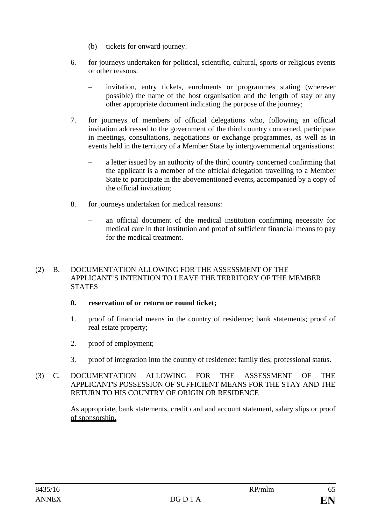- (b) tickets for onward journey.
- 6. for journeys undertaken for political, scientific, cultural, sports or religious events or other reasons:
	- invitation, entry tickets, enrolments or programmes stating (wherever possible) the name of the host organisation and the length of stay or any other appropriate document indicating the purpose of the journey;
- 7. for journeys of members of official delegations who, following an official invitation addressed to the government of the third country concerned, participate in meetings, consultations, negotiations or exchange programmes, as well as in events held in the territory of a Member State by intergovernmental organisations:
	- a letter issued by an authority of the third country concerned confirming that the applicant is a member of the official delegation travelling to a Member State to participate in the abovementioned events, accompanied by a copy of the official invitation;
- 8. for journeys undertaken for medical reasons:
	- an official document of the medical institution confirming necessity for medical care in that institution and proof of sufficient financial means to pay for the medical treatment.

#### (2) B. DOCUMENTATION ALLOWING FOR THE ASSESSMENT OF THE APPLICANT'S INTENTION TO LEAVE THE TERRITORY OF THE MEMBER **STATES**

#### **0. reservation of or return or round ticket;**

- 1. proof of financial means in the country of residence; bank statements; proof of real estate property;
- 2. proof of employment;
- 3. proof of integration into the country of residence: family ties; professional status.
- (3) C. DOCUMENTATION ALLOWING FOR THE ASSESSMENT OF THE APPLICANT'S POSSESSION OF SUFFICIENT MEANS FOR THE STAY AND THE RETURN TO HIS COUNTRY OF ORIGIN OR RESIDENCE

As appropriate, bank statements, credit card and account statement, salary slips or proof of sponsorship.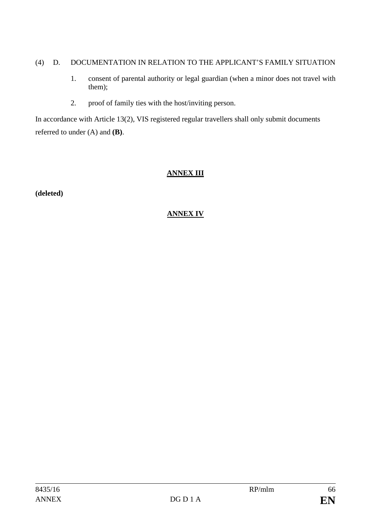#### (4) D. DOCUMENTATION IN RELATION TO THE APPLICANT'S FAMILY SITUATION

- 1. consent of parental authority or legal guardian (when a minor does not travel with them);
- 2. proof of family ties with the host/inviting person.

In accordance with Article 13(2), VIS registered regular travellers shall only submit documents referred to under (A) and **(B)**.

## **ANNEX III**

**(deleted)**

## **ANNEX IV**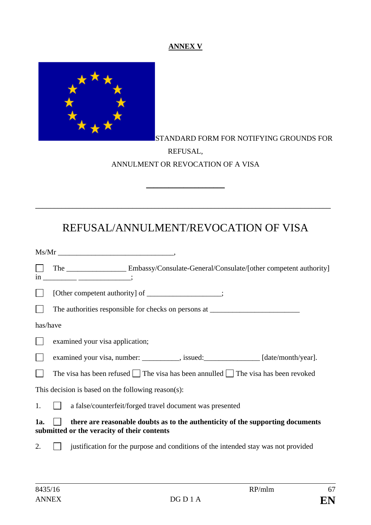## **ANNEX V**



## STANDARD FORM FOR NOTIFYING GROUNDS FOR REFUSAL, ANNULMENT OR REVOCATION OF A VISA

# REFUSAL/ANNULMENT/REVOCATION OF VISA

\_\_\_\_\_\_\_\_\_\_\_\_\_\_\_\_\_\_\_\_\_\_\_\_\_\_\_\_\_\_\_\_\_\_\_\_\_\_\_\_\_\_\_\_\_\_\_\_\_\_\_\_\_\_\_\_\_\_\_\_\_\_\_\_\_\_\_\_\_\_\_\_\_\_\_\_\_\_\_

 $\overline{\phantom{a}}$  , we can assume that the contract of  $\overline{\phantom{a}}$ 

|          | The ________________________ Embassy/Consulate-General/Consulate/[other competent authority]                                  |
|----------|-------------------------------------------------------------------------------------------------------------------------------|
|          | [Other competent authority] of __________________;                                                                            |
|          | The authorities responsible for checks on persons at ____________________________                                             |
| has/have |                                                                                                                               |
|          | examined your visa application;                                                                                               |
|          | examined your visa, number: _________, issued: ______________ [date/month/year].                                              |
|          | The visa has been refused $\Box$ The visa has been annulled $\Box$ The visa has been revoked                                  |
|          | This decision is based on the following reason(s):                                                                            |
| 1.       | a false/counterfeit/forged travel document was presented<br>$\mathbf{1}$                                                      |
| 1a.      | there are reasonable doubts as to the authenticity of the supporting documents<br>submitted or the veracity of their contents |
| 2.       | justification for the purpose and conditions of the intended stay was not provided                                            |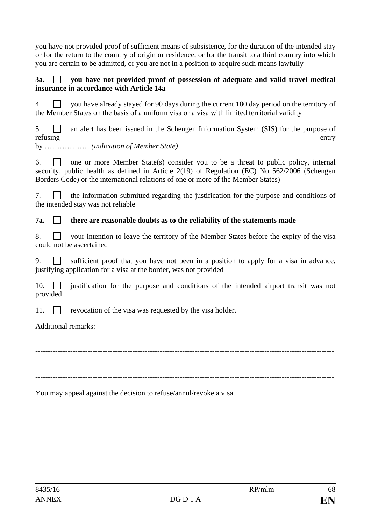you have not provided proof of sufficient means of subsistence, for the duration of the intended stay or for the return to the country of origin or residence, or for the transit to a third country into which you are certain to be admitted, or you are not in a position to acquire such means lawfully

#### **3a. you have not provided proof of possession of adequate and valid travel medical insurance in accordance with Article 14a**

4.  $\Box$  you have already stayed for 90 days during the current 180 day period on the territory of the Member States on the basis of a uniform visa or a visa with limited territorial validity

 $5.$  an alert has been issued in the Schengen Information System (SIS) for the purpose of refusing entry

by ……………… *(indication of Member State)*

6.  $\Box$  one or more Member State(s) consider you to be a threat to public policy, internal security, public health as defined in Article 2(19) of Regulation (EC) No 562/2006 (Schengen Borders Code) or the international relations of one or more of the Member States)

7.  $\Box$  the information submitted regarding the justification for the purpose and conditions of the intended stay was not reliable

## **7a. there are reasonable doubts as to the reliability of the statements made**

|  |                          |  | 8. • your intention to leave the territory of the Member States before the expiry of the visa |  |  |  |  |  |
|--|--------------------------|--|-----------------------------------------------------------------------------------------------|--|--|--|--|--|
|  | could not be ascertained |  |                                                                                               |  |  |  |  |  |

9. **Solution** Sufficient proof that you have not been in a position to apply for a visa in advance, justifying application for a visa at the border, was not provided

10. **justification** for the purpose and conditions of the intended airport transit was not provided

11.  $\Box$  revocation of the visa was requested by the visa holder.

Additional remarks:

------------------------------------------------------------------------------------------------------------------------ ------------------------------------------------------------------------------------------------------------------------ ------------------------------------------------------------------------------------------------------------------------ ------------------------------------------------------------------------------------------------------------------------

You may appeal against the decision to refuse/annul/revoke a visa.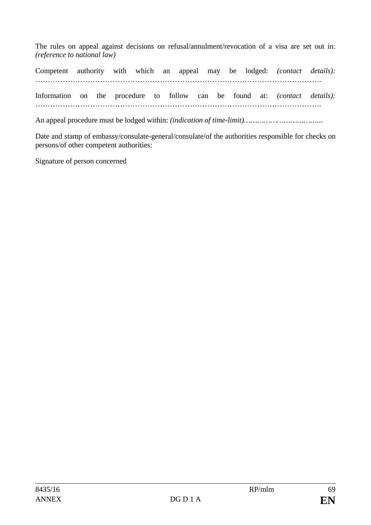The rules on appeal against decisions on refusal/annulment/revocation of a visa are set out in: *(reference to national law)*

Competent authority with which an appeal may be lodged: *(contact details):* ……………………………………………………………………………………………………. Information on the procedure to follow can be found at: *(contact details):* …………………………………………………………………………………………………….

An appeal procedure must be lodged within: *(indication of time-limit)……………………………*...

Date and stamp of embassy/consulate-general/consulate/of the authorities responsible for checks on persons/of other competent authorities:

Signature of person concerned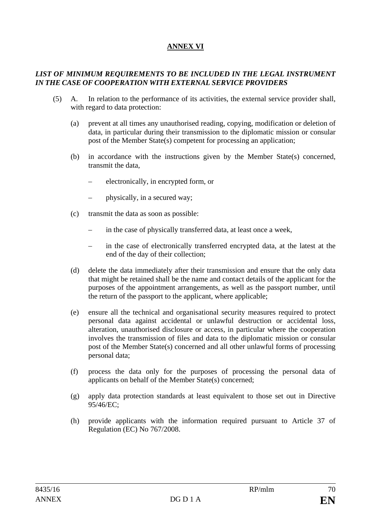## **ANNEX VI**

#### *LIST OF MINIMUM REQUIREMENTS TO BE INCLUDED IN THE LEGAL INSTRUMENT IN THE CASE OF COOPERATION WITH EXTERNAL SERVICE PROVIDERS*

- (5) A. In relation to the performance of its activities, the external service provider shall, with regard to data protection:
	- (a) prevent at all times any unauthorised reading, copying, modification or deletion of data, in particular during their transmission to the diplomatic mission or consular post of the Member State(s) competent for processing an application;
	- (b) in accordance with the instructions given by the Member State(s) concerned, transmit the data,
		- electronically, in encrypted form, or
		- physically, in a secured way;
	- (c) transmit the data as soon as possible:
		- in the case of physically transferred data, at least once a week,
		- in the case of electronically transferred encrypted data, at the latest at the end of the day of their collection;
	- (d) delete the data immediately after their transmission and ensure that the only data that might be retained shall be the name and contact details of the applicant for the purposes of the appointment arrangements, as well as the passport number, until the return of the passport to the applicant, where applicable;
	- (e) ensure all the technical and organisational security measures required to protect personal data against accidental or unlawful destruction or accidental loss, alteration, unauthorised disclosure or access, in particular where the cooperation involves the transmission of files and data to the diplomatic mission or consular post of the Member State(s) concerned and all other unlawful forms of processing personal data;
	- (f) process the data only for the purposes of processing the personal data of applicants on behalf of the Member State(s) concerned;
	- (g) apply data protection standards at least equivalent to those set out in Directive 95/46/EC;
	- (h) provide applicants with the information required pursuant to Article 37 of Regulation (EC) No 767/2008.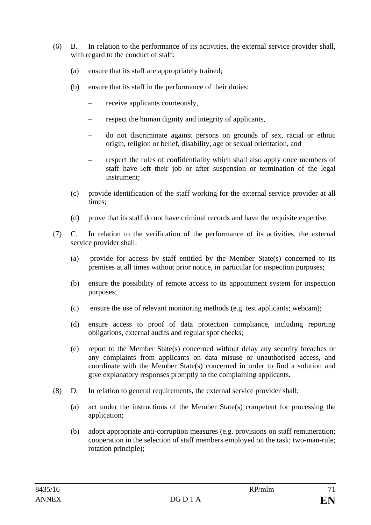- (6) B. In relation to the performance of its activities, the external service provider shall, with regard to the conduct of staff:
	- (a) ensure that its staff are appropriately trained;
	- (b) ensure that its staff in the performance of their duties:
		- receive applicants courteously,
		- respect the human dignity and integrity of applicants,
		- do not discriminate against persons on grounds of sex, racial or ethnic origin, religion or belief, disability, age or sexual orientation, and
		- respect the rules of confidentiality which shall also apply once members of staff have left their job or after suspension or termination of the legal instrument;
	- (c) provide identification of the staff working for the external service provider at all times;
	- (d) prove that its staff do not have criminal records and have the requisite expertise.
- (7) C. In relation to the verification of the performance of its activities, the external service provider shall:
	- (a) provide for access by staff entitled by the Member State(s) concerned to its premises at all times without prior notice, in particular for inspection purposes;
	- (b) ensure the possibility of remote access to its appointment system for inspection purposes;
	- (c) ensure the use of relevant monitoring methods (e.g. test applicants; webcam);
	- (d) ensure access to proof of data protection compliance, including reporting obligations, external audits and regular spot checks;
	- (e) report to the Member State(s) concerned without delay any security breaches or any complaints from applicants on data misuse or unauthorised access, and coordinate with the Member State(s) concerned in order to find a solution and give explanatory responses promptly to the complaining applicants.
- (8) D. In relation to general requirements, the external service provider shall:
	- (a) act under the instructions of the Member State(s) competent for processing the application;
	- (b) adopt appropriate anti-corruption measures (e.g. provisions on staff remuneration; cooperation in the selection of staff members employed on the task; two-man-rule; rotation principle);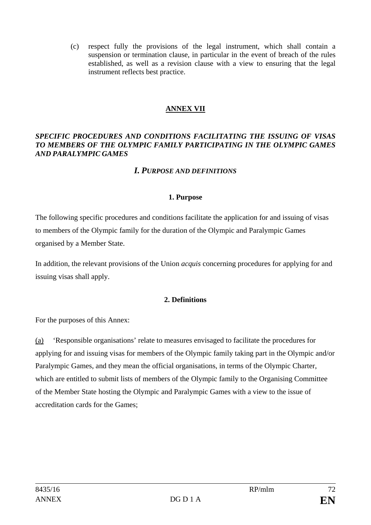(c) respect fully the provisions of the legal instrument, which shall contain a suspension or termination clause, in particular in the event of breach of the rules established, as well as a revision clause with a view to ensuring that the legal instrument reflects best practice.

## **ANNEX VII**

#### *SPECIFIC PROCEDURES AND CONDITIONS FACILITATING THE ISSUING OF VISAS TO MEMBERS OF THE OLYMPIC FAMILY PARTICIPATING IN THE OLYMPIC GAMES AND PARALYMPIC GAMES*

## *I. PURPOSE AND DEFINITIONS*

#### **1. Purpose**

The following specific procedures and conditions facilitate the application for and issuing of visas to members of the Olympic family for the duration of the Olympic and Paralympic Games organised by a Member State.

In addition, the relevant provisions of the Union *acquis* concerning procedures for applying for and issuing visas shall apply.

#### **2. Definitions**

For the purposes of this Annex:

(a) 'Responsible organisations' relate to measures envisaged to facilitate the procedures for applying for and issuing visas for members of the Olympic family taking part in the Olympic and/or Paralympic Games, and they mean the official organisations, in terms of the Olympic Charter, which are entitled to submit lists of members of the Olympic family to the Organising Committee of the Member State hosting the Olympic and Paralympic Games with a view to the issue of accreditation cards for the Games;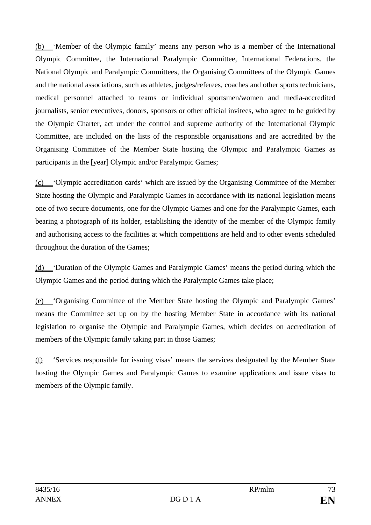(b) 'Member of the Olympic family' means any person who is a member of the International Olympic Committee, the International Paralympic Committee, International Federations, the National Olympic and Paralympic Committees, the Organising Committees of the Olympic Games and the national associations, such as athletes, judges/referees, coaches and other sports technicians, medical personnel attached to teams or individual sportsmen/women and media-accredited journalists, senior executives, donors, sponsors or other official invitees, who agree to be guided by the Olympic Charter, act under the control and supreme authority of the International Olympic Committee, are included on the lists of the responsible organisations and are accredited by the Organising Committee of the Member State hosting the Olympic and Paralympic Games as participants in the [year] Olympic and/or Paralympic Games;

(c) 'Olympic accreditation cards' which are issued by the Organising Committee of the Member State hosting the Olympic and Paralympic Games in accordance with its national legislation means one of two secure documents, one for the Olympic Games and one for the Paralympic Games, each bearing a photograph of its holder, establishing the identity of the member of the Olympic family and authorising access to the facilities at which competitions are held and to other events scheduled throughout the duration of the Games;

(d) 'Duration of the Olympic Games and Paralympic Games' means the period during which the Olympic Games and the period during which the Paralympic Games take place;

(e) 'Organising Committee of the Member State hosting the Olympic and Paralympic Games' means the Committee set up on by the hosting Member State in accordance with its national legislation to organise the Olympic and Paralympic Games, which decides on accreditation of members of the Olympic family taking part in those Games:

(f) 'Services responsible for issuing visas' means the services designated by the Member State hosting the Olympic Games and Paralympic Games to examine applications and issue visas to members of the Olympic family.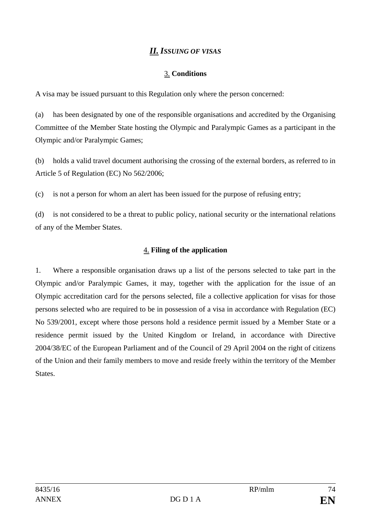# *II. ISSUING OF VISAS*

### 3. **Conditions**

A visa may be issued pursuant to this Regulation only where the person concerned:

(a) has been designated by one of the responsible organisations and accredited by the Organising Committee of the Member State hosting the Olympic and Paralympic Games as a participant in the Olympic and/or Paralympic Games;

(b) holds a valid travel document authorising the crossing of the external borders, as referred to in Article 5 of Regulation (EC) No 562/2006;

(c) is not a person for whom an alert has been issued for the purpose of refusing entry;

(d) is not considered to be a threat to public policy, national security or the international relations of any of the Member States.

### 4. **Filing of the application**

1. Where a responsible organisation draws up a list of the persons selected to take part in the Olympic and/or Paralympic Games, it may, together with the application for the issue of an Olympic accreditation card for the persons selected, file a collective application for visas for those persons selected who are required to be in possession of a visa in accordance with Regulation (EC) No 539/2001, except where those persons hold a residence permit issued by a Member State or a residence permit issued by the United Kingdom or Ireland, in accordance with Directive 2004/38/EC of the European Parliament and of the Council of 29 April 2004 on the right of citizens of the Union and their family members to move and reside freely within the territory of the Member States.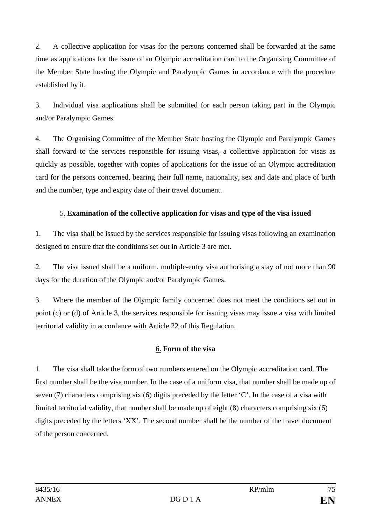2. A collective application for visas for the persons concerned shall be forwarded at the same time as applications for the issue of an Olympic accreditation card to the Organising Committee of the Member State hosting the Olympic and Paralympic Games in accordance with the procedure established by it.

3. Individual visa applications shall be submitted for each person taking part in the Olympic and/or Paralympic Games.

4. The Organising Committee of the Member State hosting the Olympic and Paralympic Games shall forward to the services responsible for issuing visas, a collective application for visas as quickly as possible, together with copies of applications for the issue of an Olympic accreditation card for the persons concerned, bearing their full name, nationality, sex and date and place of birth and the number, type and expiry date of their travel document.

## 5. **Examination of the collective application for visas and type of the visa issued**

1. The visa shall be issued by the services responsible for issuing visas following an examination designed to ensure that the conditions set out in Article 3 are met.

2. The visa issued shall be a uniform, multiple-entry visa authorising a stay of not more than 90 days for the duration of the Olympic and/or Paralympic Games.

3. Where the member of the Olympic family concerned does not meet the conditions set out in point (c) or (d) of Article 3, the services responsible for issuing visas may issue a visa with limited territorial validity in accordance with Article 22 of this Regulation.

## 6. **Form of the visa**

1. The visa shall take the form of two numbers entered on the Olympic accreditation card. The first number shall be the visa number. In the case of a uniform visa, that number shall be made up of seven (7) characters comprising six (6) digits preceded by the letter 'C'. In the case of a visa with limited territorial validity, that number shall be made up of eight (8) characters comprising six (6) digits preceded by the letters 'XX'. The second number shall be the number of the travel document of the person concerned.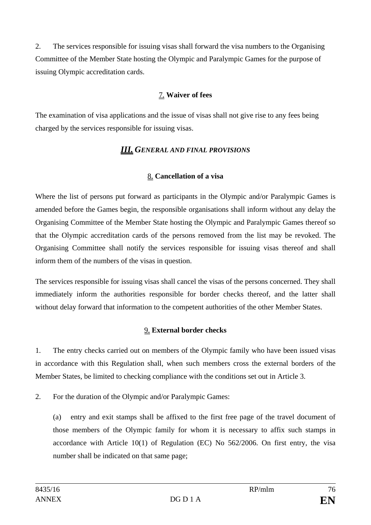2. The services responsible for issuing visas shall forward the visa numbers to the Organising Committee of the Member State hosting the Olympic and Paralympic Games for the purpose of issuing Olympic accreditation cards.

## 7. **Waiver of fees**

The examination of visa applications and the issue of visas shall not give rise to any fees being charged by the services responsible for issuing visas.

## *III. GENERAL AND FINAL PROVISIONS*

### 8. **Cancellation of a visa**

Where the list of persons put forward as participants in the Olympic and/or Paralympic Games is amended before the Games begin, the responsible organisations shall inform without any delay the Organising Committee of the Member State hosting the Olympic and Paralympic Games thereof so that the Olympic accreditation cards of the persons removed from the list may be revoked. The Organising Committee shall notify the services responsible for issuing visas thereof and shall inform them of the numbers of the visas in question.

The services responsible for issuing visas shall cancel the visas of the persons concerned. They shall immediately inform the authorities responsible for border checks thereof, and the latter shall without delay forward that information to the competent authorities of the other Member States.

## 9. **External border checks**

1. The entry checks carried out on members of the Olympic family who have been issued visas in accordance with this Regulation shall, when such members cross the external borders of the Member States, be limited to checking compliance with the conditions set out in Article 3.

2. For the duration of the Olympic and/or Paralympic Games:

(a) entry and exit stamps shall be affixed to the first free page of the travel document of those members of the Olympic family for whom it is necessary to affix such stamps in accordance with Article 10(1) of Regulation (EC) No 562/2006. On first entry, the visa number shall be indicated on that same page;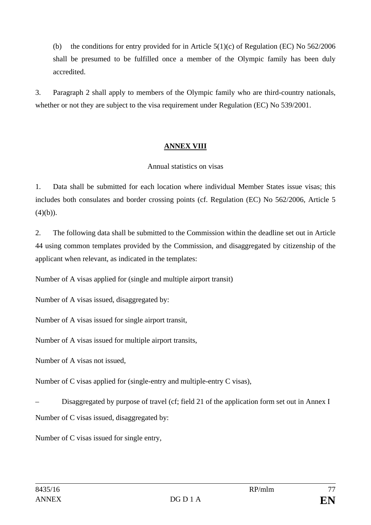(b) the conditions for entry provided for in Article  $5(1)(c)$  of Regulation (EC) No  $562/2006$ shall be presumed to be fulfilled once a member of the Olympic family has been duly accredited.

3. Paragraph 2 shall apply to members of the Olympic family who are third-country nationals, whether or not they are subject to the visa requirement under Regulation (EC) No 539/2001.

### **ANNEX VIII**

#### Annual statistics on visas

1. Data shall be submitted for each location where individual Member States issue visas; this includes both consulates and border crossing points (cf. Regulation (EC) No 562/2006, Article 5  $(4)(b)$ ).

2. The following data shall be submitted to the Commission within the deadline set out in Article 44 using common templates provided by the Commission, and disaggregated by citizenship of the applicant when relevant, as indicated in the templates:

Number of A visas applied for (single and multiple airport transit)

Number of A visas issued, disaggregated by:

Number of A visas issued for single airport transit,

Number of A visas issued for multiple airport transits,

Number of A visas not issued,

Number of C visas applied for (single-entry and multiple-entry C visas),

– Disaggregated by purpose of travel (cf; field 21 of the application form set out in Annex I Number of C visas issued, disaggregated by:

Number of C visas issued for single entry,